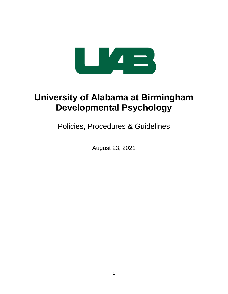

# **University of Alabama at Birmingham Developmental Psychology**

Policies, Procedures & Guidelines

August 23, 2021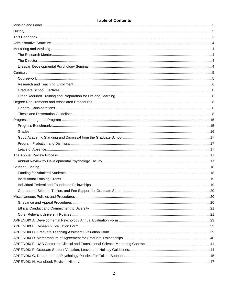# **Table of Contents**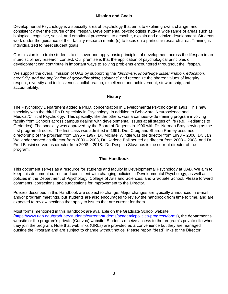#### **Mission and Goals**

<span id="page-2-0"></span>Developmental Psychology is a specialty area of psychology that aims to explain growth, change, and consistency over the course of the lifespan. Developmental psychologists study a wide range of areas such as biological, cognitive, social, and emotional processes, to describe, explain and optimize development. Students work under the guidance of their faculty research mentor(s) to focus on a particular research area. Training is individualized to meet student goals.

Our mission is to train students to discover and apply basic principles of development across the lifespan in an interdisciplinary research context. Our premise is that the application of psychological principles of development can contribute in important ways to solving problems encountered throughout the lifespan.

We support the overall mission of UAB by supporting the *"discovery, knowledge dissemination, education, creativity, and the application of groundbreaking solutions"* and recognize the shared values of integrity, respect, diversity and inclusiveness, collaboration, excellence and achievement, stewardship, and accountability.

#### **History**

<span id="page-2-1"></span>The Psychology Department added a Ph.D. concentration in Developmental Psychology in 1991. This new specialty was the third Ph.D. specialty in Psychology, in addition to Behavioral Neuroscience and Medical/Clinical Psychology. This specialty, like the others, was a campus-wide training program involving faculty from Schools across campus dealing with developmental issues at all stages of life (e.g., Pediatrics to Geriatrics). The specialty was approved by the Board of Regents in 1990 with Dr. Norman Bray serving as the first program director. The first class was admitted in 1991. Drs. Craig and Sharon Ramey assumed directorship of the program from 1995 – 1997, Dr. Michael Windle was the director from 1998 – 2000, Dr. Jan Wallander served as director from 2000 – 2003, Dr. Karlene Ball served as director from 2003 – 2008, and Dr. Fred Biasini served as director from 2008 – 2018. Dr. Despina Stavrinos is the current director of the program.

#### **This Handbook**

<span id="page-2-2"></span>This document serves as a resource for students and faculty in Developmental Psychology at UAB. We aim to keep this document current and consistent with changing policies in Developmental Psychology, as well as policies in the Department of Psychology, College of Arts and Sciences, and Graduate School. Please forward comments, corrections, and suggestions for improvement to the Director.

Policies described in this Handbook are subject to change. Major changes are typically announced in e-mail and/or program meetings, but students are also encouraged to review the handbook from time to time, and are expected to review sections that apply to issues that are current for them.

Most forms mentioned in this handbook are available on the Graduate School website [\(https://www.uab.edu/graduate/students/current-students/academicpolicies-progress/forms\)](https://www.uab.edu/graduate/students/current-students/academicpolicies-progress/forms), the department's website or the program's private (Canvas) website. Students receive access to the program's private site when they join the program. Note that web links (URLs) are provided as a convenience but they are managed outside the Program and are subject to change without notice. Please report "dead" links to the Director.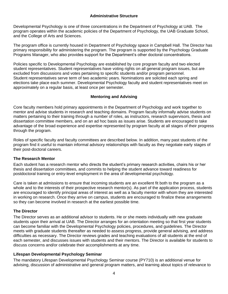#### **Administrative Structure**

<span id="page-3-0"></span>Developmental Psychology is one of three concentrations in the Department of Psychology at UAB. The program operates within the academic policies of the Department of Psychology, the UAB Graduate School, and the College of Arts and Sciences.

The program office is currently housed in Department of Psychology space in Campbell Hall. The Director has primary responsibility for administering the program. The program is supported by the Psychology Graduate Programs Manager, who also provides support for the Department's other doctoral concentrations.

Policies specific to Developmental Psychology are established by core program faculty and two elected student representatives. Student representatives have voting rights on all general program issues, but are excluded from discussions and votes pertaining to specific students and/or program personnel. Student representatives serve term of two academic years. Nominations are solicited each spring and elections take place each summer. Developmental Psychology faculty and student representatives meet on approximately on a regular basis, at least once per semester.

#### **Mentoring and Advising**

<span id="page-3-1"></span>Core faculty members hold primary appointments in the Department of Psychology and work together to mentor and advise students in research and teaching domains. Program faculty informally advise students on matters pertaining to their training through a number of roles, as instructors, research supervisors, thesis and dissertation committee members, and on an ad hoc basis as issues arise. Students are encouraged to take advantage of the broad experience and expertise represented by program faculty at all stages of their progress through the program.

Roles of specific faculty and faculty committees are described below. In addition, many past students of the program find it useful to maintain informal advisory relationships with faculty as they negotiate early stages of their post-doctoral careers.

#### <span id="page-3-2"></span>**The Research Mentor**

Each student has a research mentor who directs the student's primary research activities, chairs his or her thesis and dissertation committees, and commits to helping the student advance toward readiness for postdoctoral training or entry-level employment in the area of developmental psychology.

Care is taken at admissions to ensure that incoming students are an excellent fit both to the program as a whole and to the interests of their prospective research mentor(s). As part of the application process, students are encouraged to identify principal areas of interest as well as a faculty mentor with whom they are interested in working on research. Once they arrive on campus, students are encouraged to finalize these arrangements so they can become involved in research at the earliest possible time.

#### <span id="page-3-3"></span>**The Director**

The Director serves as an additional advisor to students. He or she meets individually with new graduate students upon their arrival at UAB. The Director arranges for an orientation meeting so that first year students can become familiar with the Developmental Psychology policies, procedures, and guidelines. The Director meets with graduate students thereafter as needed to assess progress, provide general advising, and address difficulties as necessary. The Director reviews grades and teaching evaluations of all students at the end of each semester, and discusses issues with students and their mentors. The Director is available for students to discuss concerns and/or celebrate their accomplishments at any time.

#### <span id="page-3-4"></span>**Lifespan Developmental Psychology Seminar**

The mandatory Lifespan Developmental Psychology Seminar course (PY710) is an additional venue for advising, discussion of administrative and general program matters, and learning about topics of relevance to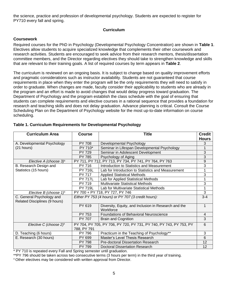<span id="page-4-0"></span>the science, practice and profession of developmental psychology. Students are expected to register for PY710 every fall and spring.

#### **Curriculum**

#### <span id="page-4-1"></span>**Coursework**

Required courses for the PhD in Psychology (Developmental Psychology Concentration) are shown in **Table 1**. Electives allow students to acquire specialized knowledge that complements their other coursework and research activities. Students are encouraged to seek advice from their research mentors, thesis/dissertation committee members, and the Director regarding electives they should take to strengthen knowledge and skills that are relevant to their training goals. A list of required courses by term appears in **Table 2**.

The curriculum is reviewed on an ongoing basis. It is subject to change based on quality improvement efforts and pragmatic considerations such as instructor availability. Students are not guaranteed that course requirements in place when they enter the program will be the only requirements they will need to satisfy in order to graduate. When changes are made, faculty consider their applicability to students who are already in the program and an effort is made to avoid changes that would delay progress toward graduation. The Department of Psychology and the program establish the class schedule with the goal of ensuring that students can complete requirements and elective courses in a rational sequence that provides a foundation for research and teaching skills and does not delay graduation. Advance planning is critical. Consult the Course Scheduling Plan on the Department of Psychology website for the most up-to-date information on course scheduling.

| <b>Curriculum Area</b>                                     | <b>Course</b>                                       | <b>Title</b>                                                       | <b>Credit</b><br><b>Hours</b> |
|------------------------------------------------------------|-----------------------------------------------------|--------------------------------------------------------------------|-------------------------------|
| A. Developmental Psychology                                | <b>PY 708</b>                                       | Developmental Psychology                                           | 3                             |
| $(21$ hours)                                               | PY 710*                                             | Seminar in Lifespan Developmental Psychology                       |                               |
|                                                            | PY 729                                              | Seminar in Adolescent Development                                  | 3                             |
|                                                            | PY 785                                              | Psychology of Aging                                                | 3                             |
| Elective A (choose $3$ ) <sup><math>\pm</math></sup>       |                                                     | PY 711, PY 712, PY 713, PY 734, PY 741, PY 764, PY 763             | $\boldsymbol{9}$              |
| B. Research Design and                                     | PY 716                                              | Introduction to Statistics and Measurement                         | 3                             |
| Statistics (15 hours)                                      | <b>PY 716L</b>                                      | Lab for Introduction to Statistics and Measurement                 |                               |
|                                                            | PY 717                                              | <b>Applied Statistical Methods</b>                                 | 3                             |
|                                                            | <b>PY 717L</b>                                      | Lab for Applied Statistical Methods                                |                               |
|                                                            | PY 719                                              | <b>Multivariate Statistical Methods</b>                            | 3                             |
|                                                            | <b>PY 719L</b>                                      | Lab for Multivariate Statistical Methods                           | 1                             |
| Elective B (choose $1$ ) <sup>±</sup>                      | PY 700 + PY 718, PY 727, PY 746                     |                                                                    | 3                             |
| C. General Psychology and<br>Related Disciplines (9 hours) | Either PY 753 (4 hours) or PY 707 (3 credit hours): |                                                                    | $3 - 4$                       |
|                                                            | PY 619                                              | Diversity, Equity, and Inclusion in Research and the<br>Workforce  | 1                             |
|                                                            | PY 753                                              | <b>Foundations of Behavioral Neuroscience</b>                      | 4                             |
|                                                            | PY 707                                              | <b>Brain and Cognition</b>                                         | 3                             |
| Elective C (choose $2^+$                                   | 788, PY 791                                         | PY 704, PY 705, PY 706, PY 720, PY 731, PY 740, PY 743, PY 753, PY | 6                             |
| D. Teaching (6 hours)                                      | PY 796                                              | Practicum in the Teaching of Psychology**                          | 3                             |
| E. Research (30 hours)                                     | PY 699                                              | Master's Level Thesis Research                                     | 6                             |
|                                                            | PY 798                                              | Pre-doctoral Dissertation Research                                 | 12                            |
|                                                            | PY 799                                              | <b>Doctoral Dissertation Research</b>                              | 12                            |

#### **Table 1. Curriculum Requirements for Developmental Psychology**

\* PY 710 is repeated every Fall and Spring semester until graduation.

\*\*PY 796 should be taken across two consecutive terms (3 hours per term) in the third year of training.

*<sup>±</sup>* Other electives may be considered with written approval from Director.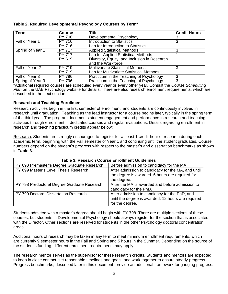#### **Table 2. Required Developmental Psychology Courses by Term\***

| Term             | <b>Course</b>   | <b>Title</b>                                 | <b>Credit Hours</b> |
|------------------|-----------------|----------------------------------------------|---------------------|
|                  | <b>PY 708</b>   | Developmental Psychology                     |                     |
| Fall of Year 1   | PY 716          | <b>Introduction to Statistics</b>            | 3                   |
|                  | <b>PY 716 L</b> | Lab for Introduction to Statistics           |                     |
| Spring of Year 1 | <b>PY 717</b>   | <b>Applied Statistical Methods</b>           | 3                   |
|                  | <b>PY 717 L</b> | Lab for Applied Statistical Methods          |                     |
|                  | PY 619          | Diversity, Equity, and Inclusion in Research |                     |
|                  |                 | and the Workforce                            |                     |
| Fall of Year 2   | PY 719          | <b>Multivariate Statistical Methods</b>      | 3                   |
|                  | <b>PY 719 L</b> | Lab for Multivariate Statistical Methods     |                     |
| Fall of Year 3   | PY 796          | Practicum in the Teaching of Psychology      | 3                   |
| Spring of Year 3 | PY 796          | Practicum in the Teaching of Psychology      | 3                   |

\*Additional required courses are scheduled every year or every other year. Consult the *Course Scheduling Plan* on the UAB Psychology website for details. There are also research enrollment requirements, which are described in the next section.

#### <span id="page-5-0"></span>**Research and Teaching Enrollment**

Research activities begin in the first semester of enrollment, and students are continuously involved in research until graduation. Teaching as the lead instructor for a course begins later, typically in the spring term of the third year. The program documents student engagement and performance in research and teaching activities through enrollment in dedicated courses and regular evaluations. Details regarding enrollment in research and teaching practicum credits appear below:

Research. Students are strongly encouraged to register for at least 1 credit hour of research during each academic term, beginning with the Fall semester of Year 1 and continuing until the student graduates. Course numbers depend on the student's progress with respect to the master's and dissertation benchmarks as shown in **Table 3**.

| <b>Table 3. Research Course Enrollment Guidelines</b> |                                                    |  |  |
|-------------------------------------------------------|----------------------------------------------------|--|--|
| PY 698 Premaster's Degree Graduate Research           | Before admission to candidacy for the MA           |  |  |
| PY 699 Master's Level Thesis Research                 | After admission to candidacy for the MA, and until |  |  |
|                                                       | the degree is awarded. 6 hours are required for    |  |  |
|                                                       | the degree.                                        |  |  |
| PY 798 Predoctoral Degree Graduate Research           | After the MA is awarded and before admission to    |  |  |
|                                                       | candidacy for the PhD.                             |  |  |
| PY 799 Doctoral Dissertation Research                 | After admission to candidacy for the PhD, and      |  |  |
|                                                       | until the degree is awarded. 12 hours are required |  |  |
|                                                       | for the degree.                                    |  |  |

Students admitted with a master's degree should begin with PY 798. There are multiple sections of these courses, but students in Developmental Psychology should always register for the section that is associated with the Director. Other sections are reserved for students in the other Psychology doctoral concentration areas.

Additional hours of research may be taken in any term to meet minimum enrollment requirements, which are currently 9 semester hours in the Fall and Spring and 5 hours in the Summer. Depending on the source of the student's funding, different enrollment requirements may apply.

The research mentor serves as the supervisor for these research credits. Students and mentors are expected to keep in close contact, set reasonable timelines and goals, and work together to ensure steady progress. Progress benchmarks, described later in this document, provide an additional framework for gauging progress.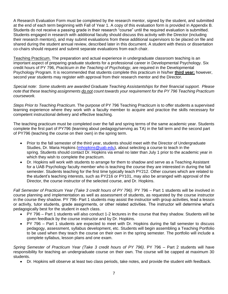A Research Evaluation Form must be completed by the research mentor, signed by the student, and submitted at the end of each term beginning with Fall of Year 1. A copy of this evaluation form is provided in Appendix B. Students do not receive a passing grade in their research "course" until the required evaluation is submitted. Students engaged in research with additional faculty should discuss this activity with the Director (including their research mentors), and may submit evaluations from these additional supervisors to be placed on file and shared during the student annual review, described later in this document. A student with thesis or dissertation co-chairs should request and submit separate evaluations from each chair.

Teaching Practicum. The preparation and actual experience in undergraduate classroom teaching is an important aspect of preparing graduate students for a professional career in Developmental Psychology. Six credit hours of PY 796, *Practicum in the Teaching of Psychology*, are required in the Developmental Psychology Program. It is recommended that students complete this practicum in his/her **third year;** however, second year students may register with approval from their research mentor and the Director.

*Special note: Some students are awarded Graduate Teaching Assistantships for their financial support. Please note that these teaching assignments do not count towards your requirement for the PY 796 Teaching Practicum coursework.* 

*Steps Prior to Teaching Practicum.* The purpose of PY 796 Teaching Practicum is to offer students a supervised learning experience where they work with a faculty member to acquire and practice the skills necessary for competent instructional delivery and effective teaching.

The teaching practicum must be completed over the fall and spring terms of the same academic year. Students complete the first part of PY796 (learning about pedagogy/serving as TA) in the fall term and the second part of PY796 (teaching the course on their own) in the spring term.

- Prior to the fall semester of the third year, students should meet with the Director of Undergraduate Studies, Dr. Maria Hopkins [\(mhopkins@uab.edu\)](mailto:mhopkins@uab.edu), about selecting a course to teach in the spring. Students should contact Dr. Hopkins via email no later than July 1 prior to the academic year in which they wish to complete the practicum.
- Dr. Hopkins will work with students to arrange for them to shadow and serve as a Teaching Assistant for a UAB Psychology faculty member who is teaching the course they are interested in during the fall semester. Students teaching for the first time typically teach PY212. Other courses which are related to the student's teaching interests, such as PY216 or PY101, may also be arranged with approval of the Director, the course instructor of the selected course, and Dr. Hopkins.

*Fall Semester of Practicum Year (Take 3 credit hours of PY 796)*. PY 796 – Part 1 students will be involved in course planning and implementation as well as assessment of students, as requested by the course instructor in the course they shadow. PY 796- Part 1 students may assist the instructor with group activities, lead a lesson or activity, tutor students, grade assignments, or other related activities. The instructor will determine what's pedagogically best for the student in each class.

- PY 796 Part 1 students will also conduct 1-2 lectures in the course that they shadow. Students will be given feedback by the course instructor and by Dr. Hopkins.
- PY 796 Part 1 students are expected to meet with Dr. Hopkins during the fall semester to discuss pedagogy, assessment, syllabus development, etc. Students will begin assembling a Teaching Portfolio to be used when they teach the course on their own in the spring semester. The portfolio will include a complete syllabus, lesson plans and one exam.

*Spring Semester of Practicum Year (Take 3 credit hours of PY 796)*. PY 796 – Part 2 students will have responsibility for teaching an undergraduate course on their own. The course will be capped at maximum 30 students.

Dr. Hopkins will observe at least two class periods, take notes, and provide the student with feedback.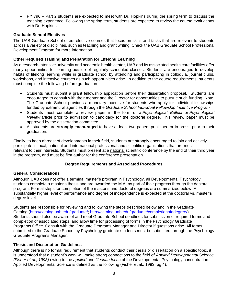PY 796 – Part 2 students are expected to meet with Dr. Hopkins during the spring term to discuss the teaching experience. Following the spring term, students are expected to review the course evaluations with Dr. Hopkins.

#### <span id="page-7-0"></span>**Graduate School Electives**

The UAB Graduate School offers elective courses that focus on skills and tasks that are relevant to students across a variety of disciplines, such as teaching and grant writing. Check the UAB Graduate School Professional Development Program for more information.

#### <span id="page-7-1"></span>**Other Required Training and Preparation for Lifelong Learning**

As a research-intensive university and academic health center, UAB and its associated health care facilities offer many opportunities for learning outside of regularly-scheduled classes. Students are encouraged to develop habits of lifelong learning while in graduate school by attending and participating in colloquia, journal clubs, workshops, and intensive courses as such opportunities arise. In addition to the course requirements, students must complete the following before graduation:

- Students must submit a grant fellowship application before their dissertation proposal. Students are encouraged to consult with their mentor and the Director for opportunities to pursue such funding. Note: The Graduate School provides a monetary incentive for students who apply for individual fellowships funded by extramural agencies through the *Graduate School Individual Fellowship Incentive Program.*
- Students must complete a review paper in the form of a *Psychological Bulletin* or *Psychological Review* article prior to admission to candidacy for the doctoral degree. This review paper must be approved by the dissertation committee.
- All students are **strongly encouraged** to have at least two papers published or in press, prior to their graduation.

Finally, to keep abreast of developments in their field, students are strongly encouraged to join and actively participate in local, national and international professional and scientific organizations that are most relevant to their interests. Students must present at a national scientific conference by the end of their third year in the program, and must be first author for the conference presentation.

#### **Degree Requirements and Associated Procedures**

#### <span id="page-7-3"></span><span id="page-7-2"></span>**General Considerations**

Although UAB does not offer a terminal master's program in Psychology, all Developmental Psychology students complete a master's thesis and are awarded the M.A. as part of their progress through the doctoral program. Formal steps for completion of the master's and doctoral degrees are summarized below. A substantially higher level of performance and degree of independence is expected at the doctoral vs. master's degree level.

Students are responsible for reviewing and following the steps described below and in the Graduate Catalog [\(http://catalog.uab.edu/graduate/;](http://catalog.uab.edu/graduate/) [http://catalog.uab.edu/graduate/completionofadegree/\)](http://catalog.uab.edu/graduate/completionofadegree/). Students should also be aware of and meet Graduate School deadlines for submission of required forms and completion of associated steps, and allow time for processing of forms in the Psychology Graduate Programs Office. Consult with the Graduate Programs Manager and Director if questions arise. All forms submitted to the Graduate School by Psychology graduate students must be submitted through the Psychology Graduate Programs Manager.

#### <span id="page-7-4"></span>**Thesis and Dissertation Guidelines**

Although there is no formal requirement that students conduct their thesis or dissertation on a specific topic, it is understood that a student's work will make strong connections to the field of *Applied Developmental Science (Fisher et al., 1993)* owing to the *applied* and *lifespan focus* of the Developmental Psychology concentration. Applied Developmental Science is defined as the following (Fisher et al., 1993; pg 4):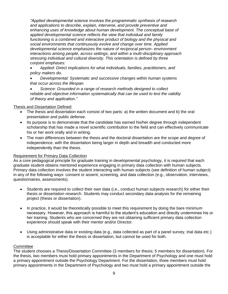*"Applied developmental science involves the programmatic synthesis of research and applications to describe, explain, intervene, and provide preventive and enhancing uses of knowledge about human development. The conceptual base of applied developmental science reflects the view that individual and family functioning is a combined and interactive product of biology and the physical and social environments that continuously evolve and change over time. Applied developmental science emphasizes the nature of reciprocal person- environment interactions among people, across settings, and within a multi-disciplinary approach stressing individual and cultural diversity. This orientation is defined by three conjoint emphases:* 

- *Applied: Direct implications for what individuals, families, practitioners, and policy makers do.*
- *Developmental: Systematic and successive changes within human systems that occur across the lifespan.*
- *Science: Grounded in a range of research methods designed to collect reliable and objective information systematically that can be used to test the validity of theory and application."*

#### Thesis and Dissertation Defined

- The thesis and dissertation each consist of two parts: a) the written document and b) the oral presentation and public defense.
- Its purpose is to demonstrate that the candidate has earned his/her degree through independent scholarship that has made a novel scientific contribution to the field and can effectively communicate his or her work orally and in writing.
- The main differences between the thesis and the doctoral dissertation are the scope and degree of independence, with the dissertation being larger in depth and breadth and conducted more independently than the thesis.

#### Requirement for Primary Data Collection

As a core pedagogical principle for graduate training in developmental psychology, it is *required* that each graduate student obtains mentored experience engaging in primary data collection with human subjects. Primary data collection involves the student interacting with human subjects (see definition of human subject) in any of the following ways: consent or assent, screening, and data collection (e.g., observation, interviews, questionnaires, assessments).

- Students are required to collect their own data (i.e., conduct human subjects research) for either their thesis or dissertation research. Students may conduct secondary data analysis for the remaining project (thesis or dissertation).
- In practice, it would be theoretically possible to meet this requirement by doing the bare minimum necessary. However, this approach is harmful to the student's education and directly undermines his or her training. Students who are concerned they are not obtaining sufficient primary data collection experience should speak with their mentor and/or Director.
- Using administrative data or existing data (e.g., data collected as part of a panel survey, trial data etc.) is acceptable for either the thesis or dissertation, but cannot be used for both.

#### **Committee**

The student chooses a Thesis/Dissertation Committee (3 members for thesis; 5 members for dissertation). For the thesis, two members must hold primary appointments in the Department of Psychology and one must hold a primary appointment outside the Psychology Department. For the dissertation, three members must hold primary appointments in the Department of Psychology and two must hold a primary appointment outside the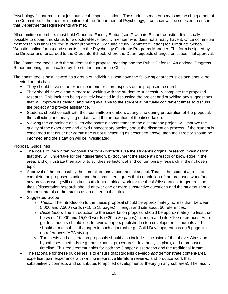Psychology Department (not just outside the specialization). The student's mentor serves as the chairperson of the Committee. If the mentor is outside of the Department of Psychology, a co-chair will be selected to ensure that Departmental requirements are met.

All committee members must hold Graduate Faculty Status (see Graduate School website). It is usually possible to obtain this status for a doctoral-level faculty member who does not already have it. Once committee membership is finalized, the student prepares a Graduate Study Committee Letter (see Graduate School Website, online forms) and submits it to the Psychology Graduate Programs Manager. The form is signed by the Director and forwarded to the Graduate School, where the Dean requests changes or issues final approval.

The Committee meets with the student at the proposal meeting and the Public Defense. An optional Progress Report meeting can be called by the student and/or the Chair.

The committee is best viewed as a group of individuals who have the following characteristics and should be selected on this basis:

- They should have some expertise in one or more aspects of the proposed research.
- They should have a commitment to working with the student to successfully complete the proposed research. This includes being actively involved in discussing the project and providing any suggestions that will improve its design, and being available to the student at mutually convenient times to discuss the project and provide assistance.
- Students should consult with their committee members at any time during preparation of the proposal, the collecting and analyzing of data, and the preparation of the dissertation.
- Viewing the committee as allies who share a commitment to the dissertation project will improve the quality of the experience and avoid unnecessary anxiety about the dissertation process. If the student is concerned that his or her committee is not functioning as described above, then the Director should be informed and the situation will be investigated.

#### Proposal Guidelines

- The goals of the written proposal are to: a) contextualize the student's original research investigation that they will undertake for their dissertation, b) document the student's breadth of knowledge in the area, and c) illustrate their ability to synthesize historical and contemporary research in their chosen topic.
- Approval of the proposal by the committee has a contractual aspect. That is, the student agrees to complete the proposed studies and the committee agrees that completion of the proposed work (and any previous work) will constitute sufficient empirical work for the thesis/dissertation. In general, the thesis/dissertation research should answer one or more substantive questions and the student should demonstrate his or her status as an expert in their field.
- Suggested Scope
	- o *Thesis*: The introduction to the thesis proposal should be approximately no less than between 5,000 and 7,500 words (~10 to 15 pages) in length and cite about 50 references.
	- o *Dissertation*: The introduction to the dissertation proposal should be approximately no less than between 10,000 and 15,000 words (~20 to 30 pages) in length and cite ~100 references. As a guide, students should look to review papers published in top developmental journals and should aim to submit the paper in such a journal (e.g., Child Development has an 8 page limit on references (APA style)).
	- $\circ$  The thesis and dissertation proposals should also include inclusive of the above: Aims and hypotheses, methods (e.g., participants, procedures, data analysis plan), and a proposed timeline. This requirement holds for both the 3 paper dissertation and the traditional format.
- The rationale for these guidelines is to ensure that students develop *and* demonstrate content-area expertise, gain experience with writing integrative literature reviews, and produce work that substantively connects and contributes to applied developmental theory (in any sub area). The faculty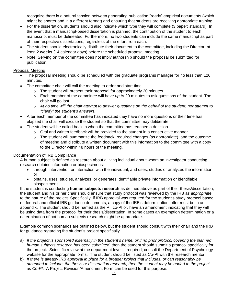recognize there is a natural tension between generating publication "ready" empirical documents (which might be shorter and in a different format) and ensuring that students are receiving appropriate training.

- For the dissertation, students should also indicate which type they will complete (3 paper; standard). In the event that a manuscript-based dissertation is planned, the contribution of the student to each manuscript must be delineated. Furthermore, no two students can include the same manuscript as part of their respective dissertations, regardless of the effort from each.
- The student should electronically distribute their document to the committee, including the Director, at least **2 weeks** (14 calendar days) before the scheduled proposal meeting.
- Note: Serving on the committee does not imply authorship should the proposal be submitted for publication.

#### Proposal Meeting

- The proposal meeting should be scheduled with the graduate programs manager for no less than 120 minutes.
- The committee chair will call the meeting to order and start time.
	- o The student will present their proposal for approximately 20 minutes.
	- o Each member of the committee will have *up to* 20 minutes to ask questions of the student. The chair will go last.
	- o *At no time will the chair attempt to answer questions on the behalf of the student, nor attempt to "clarify" the student's answers.*
- After each member of the committee has indicated they have no more questions or their time has elapsed the chair will excuse the student so that the committee may deliberate.
- The student will be called back in when the committee has reached a decision.
	- $\circ$  Oral and written feedback will be provided to the student in a constructive manner.
	- $\circ$  The student will summarize the feedback, required changes (as appropriate), and the outcome of meeting and distribute a written document with this information to the committee with a copy to the Director within 48 hours of the meeting.

#### Documentation of IRB Compliance

A human subject is defined as research about a living individual about whom an investigator conducting research obtains information or biospecimens:

- through intervention or interaction with the individual, and uses, studies or analyzes the information or
- obtains, uses, studies, analyzes, or generates identifiable private information or identifiable biospecimens.

If the student is conducting **human subjects research** as defined above as part of their thesis/dissertation, the student and his or her chair should ensure that study protocol was reviewed by the IRB *as appropriate* to the nature of the project. Specifically, if IRB approval was required for the student's study protocol based on federal and official IRB guidance documents, a copy of the IRB's determination letter must be in an appendix. The student should be named as the PI, co-PI or, have an amendment indicating that they will be using data from the protocol for their thesis/dissertation. In some cases an exemption determination or a determination of not human subjects research might be appropriate.

Example common scenarios are outlined below, but the student should consult with their chair and the IRB for guidance regarding the student's project specifically.

- a) *If the project is sponsored externally in the student's name, or if no prior protocol covering the planned human subjects research has been submitted*, then the student should submit a protocol specifically for the project. Scientific review at the department level is required; consult the Department of Psychology website for the appropriate forms. The student should be listed as Co-PI with the research mentor.
- b) *If there is already IRB approval in place for a broader project that includes, or can reasonably be amended to include, the thesis or dissertation research, then the student may be added to the project as Co-PI*. A Project Revision/Amendment Form can be used for this purpose.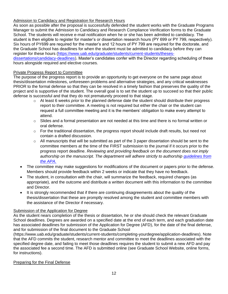#### Admission to Candidacy and Registration for Research Hours

As soon as possible after the proposal is successfully defended the student works with the Graduate Programs Manager to submit the Admission to Candidacy and Research Compliance Verification forms to the Graduate School. The students will receive e-mail notification when he or she has been admitted to candidacy. The student is then eligible to register for master's or dissertation research hours (PY 699 or PY 799, respectively). Six hours of PY699 are required for the master's and 12 hours of PY 799 are required for the doctorate, and the Graduate School has deadlines for when the student must be admitted to candidacy before they can register for these hours [\(https://www.uab.edu/graduate/students/current-students/theses-](https://www.uab.edu/graduate/students/current-students/theses-dissertations/candidacy-deadlines)

[dissertations/candidacy-deadlines\)](https://www.uab.edu/graduate/students/current-students/theses-dissertations/candidacy-deadlines). Master's candidates confer with the Director regarding scheduling of these hours alongside required and elective courses.

#### Private Progress Report to Committee

The purpose of the progress report is to provide an opportunity to get everyone on the same page about thesis/dissertation milestones, unforeseen problems and alternative strategies, and any critical weaknesses PRIOR to the formal defense so that they can be resolved in a timely fashion that preserves the quality of the project and is supportive of the student. The overall goal is to set the student up to succeed so that their public defense is successful and that they do not prematurely proceed to that stage.

- o At least 6 weeks *prior* to the planned defense date the student should distribute their progress report to their committee. A meeting is not required but either the chair or the student can request a full committee meeting and it is the members' obligation to make every attempt to attend.
- $\circ$  Slides and a formal presentation are not needed at this time and there is no formal written or oral defense.
- $\circ$  For the traditional dissertation, the progress report should include draft results, but need not contain a drafted discussion.
- $\circ$  All manuscripts that will be submitted as part of the 3 paper dissertation should be sent to the committee members at the time of the FIRST submission to the journal if it occurs prior to the progress report deadline. *Reviewing and providing feedback on the document does not imply authorship on the manuscript. The department will adhere strictly to authorship [guidelines from](https://www.apa.org/science/leadership/students/authorship-paper)  [the APA.](https://www.apa.org/science/leadership/students/authorship-paper)*
- The committee may make suggestions for modifications of the document or papers prior to the defense. Members should provide feedback within 2 weeks or indicate that they have no feedback.
- The student, in consultation with the chair, will summarize the feedback, required changes (as appropriate), and the outcome and distribute a written document with this information to the committee and Director.
- It is strongly recommended that if there are continuing disagreements about the quality of the thesis/dissertation that these are promptly resolved among the student and committee members with the assistance of the Director if necessary.

#### Submission of the Application for Degree

As the student nears completion of the thesis or dissertation, he or she should check the relevant Graduate School deadlines. Degrees are awarded on a specified date at the end of each term, and each graduation date has associated deadlines for submission of the Application for Degree (AFD), for the date of the final defense, and for submission of the final document to the Graduate School

(https://www.uab.edu/graduate/students/current-students/completing-yourdegree/application-deadlines). Note that the AFD commits the student, research mentor and committee to meet the deadlines associated with the specified degree date, and failing to meet those deadlines requires the student to submit a new AFD and pay the associated fee a second time. The AFD is submitted online (see Graduate School Website, online forms, for instructions).

#### Preparing for the Final Defense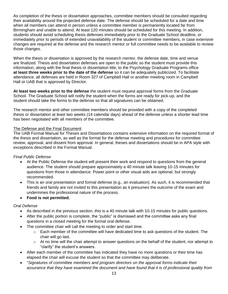As completion of the thesis or dissertation approaches, committee members should be consulted regarding their availability around the projected defense date. The defense should be scheduled for a date and time when all members can attend in person unless a committee member is permanently located far from Birmingham and unable to attend. At least 120 minutes should be scheduled for this meeting. In addition, students should avoid scheduling thesis defenses immediately prior to the Graduate School deadline, or immediately prior to periods of extended unavailability of the student or committee members, in case extensive changes are required at the defense and the research mentor or full committee needs to be available to review those changes.

When the thesis or dissertation is approved by the research mentor, the defense date, time and venue are finalized. Thesis and dissertation defenses are open to the public so the student must provide this information, along with the final thesis or dissertation title, to the Psychology Graduate Programs office **at least three weeks prior to the date of the defense** so it can be adequately publicized. To facilitate attendance, all defenses are held in Room 327 of Campbell Hall or another meeting room in Campbell Hall or UAB that is approved by Director.

**At least two weeks prior to the defense** the student must request approval forms from the Graduate School. The Graduate School will notify the student when the forms are ready for pick-up, and the student should take the forms to the defense so that all signatures can be obtained.

The research mentor and other committee members should be provided with a copy of the completed thesis or dissertation at least two weeks (14 calendar days) ahead of the defense unless a shorter lead time has been negotiated with all members of the committee.

#### The Defense and the Final Document

The UAB Format Manual for Theses and Dissertations contains extensive information on the required format of the thesis and dissertation, as well as the format for the defense meeting and procedures for committee review, approval, and dissent from approval. In general, theses and dissertations should be in APA style with exceptions described in the Format Manual.

#### *Final Public Defense*

- At the Public Defense the student will present their work and respond to questions from the general audience. The student should prepare approximately a 40 minute talk leaving 10-15 minutes for questions from those in attendance. Power point or other visual aids are optional, but strongly recommended.
- This is an oral presentation and formal defense (e.g., an evaluation). As such, it is recommended that friends and family are not invited to this presentation as it presumes the outcome of the exam and undermines the professional nature of the process.

#### **Food is not permitted.**

#### *Oral Defense*

- As described in the previous section, this is a 40 minute talk with 10-15 minutes for public questions.
- After the public portion is complete, the "public" is dismissed and the committee asks any final questions in a closed meeting for the formal oral defense.
- The committee chair will call the meeting to order and start time.
	- $\circ$  Each member of the committee will have dedicated time to ask questions of the student. The chair will go last.
	- $\circ$  At no time will the chair attempt to answer questions on the behalf of the student, nor attempt to "clarify" the student's answers.
- After each member of the committee has indicated they have no more questions or their time has elapsed the chair will excuse the student so that the committee may deliberate.
- "*Signatures of committee members and program directors on the approval forms indicate their assurance that they have examined the document and have found that it is of professional quality from*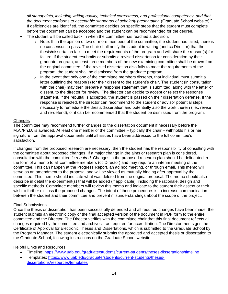*all standpoints, including writing quality, technical correctness, and professional competency, and that the document conforms to acceptable standards of scholarly presentation (Graduate School website).*" If deficiencies are identified, the committee decides on specific steps that the student must complete before the document can be accepted and the student can be recommended for the degree.

- The student will be called back in when the committee has reached a decision.
	- $\circ$  Note: If, in the opinion of two or more members of the committee, the student has failed, there is no consensus to pass. The chair shall notify the student in writing (and cc Director) that the thesis/dissertation fails to meet the requirements of the program and will share the reason(s) for failure. If the student resubmits or submits a revised dissertation for consideration by their graduate program, at least three members of the new examining committee shall be drawn from the original committee. If the revised dissertation also fails to meet the requirements of the program, the student shall be dismissed from the graduate program.
	- $\circ$  In the event that only one of the committee members dissents, that individual must submit a letter outlining the reason(s) for their dissent to the student's chair. The student (in consultation with the chair) may then prepare a response statement that is submitted, along with the letter of dissent, to the director for review. The director can decide to accept or reject the response statement. If the rebuttal is accepted, the student is passed on their dissertation defense. If the response is rejected, the director can recommend to the student or advisor potential steps necessary to remediate the thesis/dissertation and potentially also the work therein (i.e., revise and re-defend), or it can be recommended that the student be dismissed from the program.

#### Changes

The committee may recommend further changes to the dissertation document if necessary before the M.A./Ph.D. is awarded. At least one member of the committee – typically the chair – withholds his or her signature from the approval documents until all issues have been addressed to the full committee's satisfaction.

If changes from the proposed research are necessary, then the student has the responsibility of consulting with the committee about proposed changes. If a major change in the aims or research plan is considered, consultation with the committee *is required.* Changes in the proposed research plan should be delineated in the form of a memo to all committee members (cc Director) and may require an interim meeting of the committee. This can happen at the Progress Report, an ad hoc meeting, or through email. This memo will serve as an amendment to the proposal and will be viewed as mutually binding after approval by the committee. This memo should indicate what was deleted from the original proposal. The memo should also describe in detail the experiment(s) that will be added (if applicable), including the rationale, design and specific methods. Committee members will review this memo and indicate to the student their assent or their wish to further discuss the proposed changes. The intent of these procedures is to increase communication between the student and their committee and prevent misunderstandings about the scope of the project.

#### Final Submissions

Once the thesis or dissertation has been successfully defended and all required changes have been made, the student submits an electronic copy of the final accepted version of the document in PDF form to the entire committee and the Director. The Director verifies with the committee chair that this final document reflects all changes required by the committee and archives it as required for accreditation. The Director then signs the Certificate of Approval for Electronic Theses and Dissertations, which is submitted to the Graduate School by the Program Manager. The student electronically submits the approved and accepted thesis or dissertation to the Graduate School, following instructions on the Graduate School website.

#### Helpful Links and Resources

- Timeline:<https://www.uab.edu/graduate/students/current-students/theses-dissertations/timeline>
- Templates: [https://www.uab.edu/graduate/students/current-students/theses](https://www.uab.edu/graduate/students/current-students/theses-dissertations/resources/templates)[dissertations/resources/templates](https://www.uab.edu/graduate/students/current-students/theses-dissertations/resources/templates)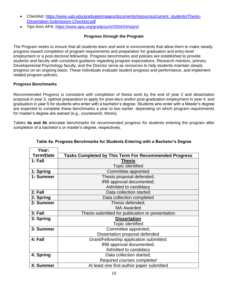- Checklist: [https://www.uab.edu/graduate/images/documents/resources/current\\_students/Thesis-](https://www.uab.edu/graduate/images/documents/resources/current_students/Thesis-Dissertation-Submission-Checklist.pdf)[Dissertation-Submission-Checklist.pdf](https://www.uab.edu/graduate/images/documents/resources/current_students/Thesis-Dissertation-Submission-Checklist.pdf)
- <span id="page-14-0"></span>• Tips from APA:<https://www.apa.org/gradpsych/2004/04/stand>

#### **Progress through the Program**

The Program seeks to ensure that all students learn and work in environments that allow them to make steady progress toward completion of program requirements and preparation for graduation and entry-level employment or a post-doctoral fellowship. Progress benchmarks and policies are established to provide students and faculty with consistent guidance regarding program expectations. Research mentors, primary Developmental Psychology faculty, and the Director serve as resources to help students maintain steady progress on an ongoing basis. These individuals evaluate student progress and performance, and implement related program policies.

#### <span id="page-14-1"></span>**Progress Benchmarks**

*Recommended Progress* is consistent with completion of thesis work by the end of year 2 and dissertation proposal in year 3, optimal preparation to apply for post-docs and/or post-graduation employment in year 4, and graduation in year 5 for students who enter with a bachelor's degree. Students who enter with a Master's degree are expected to complete these benchmarks a year to two earlier, depending on which program requirements for master's degree are waived (e.g., coursework, thesis).

Tables **4a and 4b** articulate benchmarks for *recommended progress* for students entering the program after completion of a bachelor's or master's degree, respectively.

| Year:            |                                                              |
|------------------|--------------------------------------------------------------|
| <b>Term/Date</b> | <b>Tasks Completed by This Term For Recommended Progress</b> |
| $1:$ Fall        | <b>Thesis</b>                                                |
|                  | <b>Topic identified</b>                                      |
| 1: Spring        | Committee appointed                                          |
| 1: Summer        | Thesis proposal defended;                                    |
|                  | IRB approval documented;                                     |
|                  | Admitted to candidacy                                        |
| 2: Fall          | Data collection started                                      |
| 2: Spring        | Data collection completed                                    |
| 2: Summer        | Thesis defended;                                             |
|                  | <b>MA Awarded</b>                                            |
| 3: Fall          | Thesis submitted for publication or presentation             |
| 3: Spring        | <b>Dissertation</b>                                          |
|                  | <b>Topic identified</b>                                      |
| 3: Summer        | Committee appointed;                                         |
|                  | Dissertation proposal defended                               |
| 4: Fall          | Grant/Fellowship application submitted;                      |
|                  | IRB approval documented;                                     |
|                  | Admitted to candidacy                                        |
| 4: Spring        | Data collection started;                                     |
|                  | Required courses completed                                   |
| 4: Summer        | At least one first-author paper submitted                    |

#### **Table 4a. Progress Benchmarks for Students Entering with a Bachelor's Degree**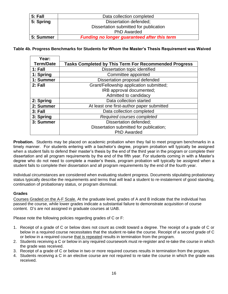| 5: Fall   | Data collection completed                           |  |  |
|-----------|-----------------------------------------------------|--|--|
| 5: Spring | Dissertation defended;                              |  |  |
|           | Dissertation submitted for publication              |  |  |
|           | <b>PhD Awarded</b>                                  |  |  |
| 5: Summer | <b>Funding no longer guaranteed after this term</b> |  |  |

**Table 4b. Progress Benchmarks for Students for Whom the Master's Thesis Requirement was Waived**

| Year:            |                                                       |
|------------------|-------------------------------------------------------|
| <b>Term/Date</b> | Tasks Completed by This Term For Recommended Progress |
| 1: Fall          | Dissertation topic identified                         |
| 1: Spring        | Committee appointed                                   |
| 1: Summer        | Dissertation proposal defended                        |
| $2:$ Fall        | Grant/Fellowship application submitted;               |
|                  | IRB approval documented;                              |
|                  | Admitted to candidacy                                 |
| 2: Spring        | Data collection started                               |
| 2: Summer        | At least one first-author paper submitted             |
| 3: Fall          | Data collection completed                             |
| 3: Spring        | Required courses completed                            |
| 3: Summer        | Dissertation defended;                                |
|                  | Dissertation submitted for publication;               |
|                  | <b>PhD Awarded</b>                                    |

**Probation.** Students may be placed on academic probation when they fail to meet program benchmarks in a timely manner. For students entering with a bachelor's degree, program probation will typically be assigned when a student fails to defend their master's thesis by the end of the third year in the program or complete their dissertation and all program requirements by the end of the fifth year. For students coming in with a Master's degree who do not need to complete a master's thesis, program probation will typically be assigned when a student fails to complete their dissertation and all program requirements by the end of the fourth year.

Individual circumstances are considered when evaluating student progress. Documents stipulating probationary status typically describe the requirements and terms that will lead a student to re-instatement of good standing, continuation of probationary status, or program dismissal.

#### <span id="page-15-0"></span>**Grades**

Courses Graded on the A-F Scale. At the graduate level, grades of A and B indicate that the individual has passed the course, while lower grades indicate a substantial failure to demonstrate acquisition of course content. D's are not assigned in graduate courses at UAB.

Please note the following policies regarding grades of C or F:

- 1. Receipt of a grade of C or below does not count as credit toward a degree. The receipt of a grade of C or below in a required course necessitates that the student re-take the course. Receipt of a second grade of C or below in a required course that is repeated results in termination from the program.
- 2. Students receiving a C or below in any required coursework must re-register and re-take the course in which the grade was received.
- 3. Receipt of a grade of C or below in two or more required courses results in termination from the program.
- 4. Students receiving a C in an elective course are not required to re-take the course in which the grade was received.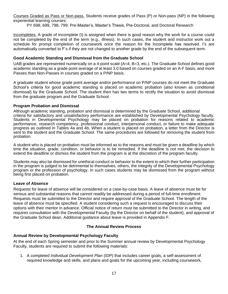Courses Graded as Pass or Non-pass. Students receive grades of Pass (P) or Non-pass (NP) in the following experiential learning courses:

PY 698, 699, 798, 799: Pre-Master's, Master's Thesis, Pre-Doctoral, and Doctoral Research

Incompletes. A grade of Incomplete (I) is assigned when there is good reason why the work for a course could not be completed by the end of the term (e.g., illness). In such cases, the student and instructor work out a schedule for prompt completion of coursework once the reason for the Incomplete has resolved. I's are automatically converted to F's if they are not changed to another grade by the end of the subsequent term.

#### <span id="page-16-0"></span>**Good Academic Standing and Dismissal from the Graduate School**

UAB grades are represented numerically on a 4-point scale (A=4, B=3, etc.). The Graduate School defines good academic standing as a grade point average of at least 3.0 based on courses graded on an A-F basis, and more Passes than Non-Passes in courses graded on a P/NP basis.

A graduate student whose grade point average and/or performance on P/NP courses do not meet the Graduate School's criteria for good academic standing is placed on academic probation (also known as conditional dismissal) by the Graduate School. The student then has two terms to rectify the situation to avoid dismissal from the graduate program and the Graduate School.

#### <span id="page-16-1"></span>**Program Probation and Dismissal**

Although academic standing, probation and dismissal is determined by the Graduate School, additional criteria for satisfactory and unsatisfactory performance are established by Developmental Psychology faculty. Students in Developmental Psychology may be placed on probation for reasons related to academic performance, research competency, professional conduct, interpersonal conduct, or failure to make adequate progress as outlined in Tables 4a and 4b. When a student is placed on probation, a letter from the Director is sent to the student and the Graduate School. The same procedures are followed for removing the student from probation.

A student who is placed on probation must be informed as to the reasons and must be given a deadline by which time the situation, grade, condition, or behavior is to be remedied. If the deadline is not met, the decision to extend the deadline or dismiss the student from the program is at the discretion of the program faculty.

Students may also be dismissed for unethical conduct or behavior to the extent to which their further participation in the program is judged to be detrimental to themselves, others, the integrity of the Developmental Psychology program or the profession of psychology. In such cases students may be dismissed from the program without being first placed on probation.

#### <span id="page-16-2"></span>**Leave of Absence**

Requests for leave of absence will be considered on a case-by-case basis. A leave of absence must be for serious and substantial reasons that cannot readily be addressed during a period of full-time enrollment. Requests must be submitted to the Director and require approval of the Graduate School. The length of the leave of absence must be specified. A student considering such a request is encouraged to discuss their options with their mentor in advance. Official notice of return must be submitted to the Director in writing, and requires consultation with the Developmental Faculty (by the Director on behalf of the student), and approval of the Graduate School dean. Additional guidance about leave is provided in Appendix F.

#### **The Annual Review Process**

#### <span id="page-16-4"></span><span id="page-16-3"></span>**Annual Review by Developmental Psychology Faculty**

At the end of each Spring semester and prior to the Summer annual review by Developmental Psychology Faculty, students are required to submit the following materials:

1. A completed *Individual Development Plan* (IDP) that includes career goals, a self-assessment of required knowledge and skills, and plans and goals for the upcoming year, including coursework,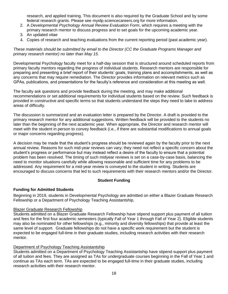research, and applied training. This document is also required by the Graduate School and by some federal research grants. Please see myidp.sciencecareers.org for more information.

- 2. A *Developmental Psychology Annual Review Evaluation Form*, which requires a meeting with the primary research mentor to discuss progress and to set goals for the upcoming academic year.
- 3. An updated vitae
- 4. Copies of research and teaching evaluations from the current reporting period (past academic year).

#### *These materials should be submitted by email to the Director (CC the Graduate Programs Manager and primary research mentor) no later than May 15.*

Developmental Psychology faculty meet for a half-day session that is structured around scheduled reports from primary faculty mentors regarding the progress of individual students. Research mentors are responsible for preparing and presenting a brief report of their students' goals, training plans and accomplishments, as well as any concerns that may require remediation. The Director provides information on relevant metrics such as GPAs, publications, and presentations for the faculty's reference and consideration at this meeting as well.

The faculty ask questions and provide feedback during the meeting, and may make additional recommendations or set additional requirements for individual students based on the review. Such feedback is provided in constructive and specific terms so that students understand the steps they need to take to address areas of difficulty.

The discussion is summarized and an evaluation letter is prepared by the Director. A draft is provided to the primary research mentor for any additional suggestions. Written feedback will be provided to the students no later than the beginning of the next academic year. When appropriate, the Director and research mentor will meet with the student in person to convey feedback (i.e., if there are substantial modifications to annual goals or major concerns regarding progress).

A decision may be made that the student's progress should be reviewed again by the faculty prior to the next annual review. Reasons for such mid-year reviews can vary; they need not reflect a specific concern about the student's progress or performance but may instead reflect a desire of the faculty to ensure that a potential problem has been resolved. The timing of such midyear reviews is set on a case-by-case basis, balancing the need to monitor situations carefully while allowing reasonable and sufficient time for any problems to be addressed. Any requirement for a mid-year review is conveyed to the student in writing. Students are encouraged to discuss concerns that led to such requirements with their research mentors and/or the Director.

#### **Student Funding**

#### <span id="page-17-1"></span><span id="page-17-0"></span>**Funding for Admitted Students**

Beginning in 2019, students in Developmental Psychology are admitted on either a Blazer Graduate Research Fellowship or a Department of Psychology Teaching Assistantship.

#### Blazer Graduate Research Fellowship

Students admitted on a Blazer Graduate Research Fellowship have stipend support plus payment of all tuition and fees for the first four academic semesters (typically Fall of Year 1 through Fall of Year 2). Eligible students may also be nominated for other fellowships (e.g., minority and diversity fellowships) that provide at least the same level of support. Graduate fellowships do not have a specific work requirement but the student is expected to be engaged full-time in their graduate studies, including research activities with their research mentor.

#### Department of Psychology Teaching Assistantship

Students admitted on a Department of Psychology Teaching Assistantship have stipend support plus payment of all tuition and fees. They are assigned as TAs for undergraduate courses beginning in the Fall of Year 1 and continue as TAs each term. TAs are expected to be engaged full-time in their graduate studies, including research activities with their research mentor.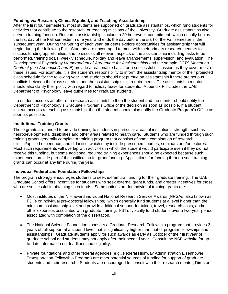#### **Funding via Research, Clinical/Applied, and Teaching Assistantship**

After the first four semesters, most students are supported on graduate assistantships, which fund students for activities that contribute to the research, or teaching missions of the University. Graduate assistantships also serve a training function. Research assistantships include a 20 hour/week commitment, which usually begins the first day of the Fall semester in one year and ends the day before the start of the Fall semester in the subsequent year. During the Spring of each year, students explore opportunities for assistantship that will begin during the following Fall. Students are encouraged to meet with their primary research mentors to discuss funding opportunities, and to discuss all relevant aspects of the assistantship including tasks to be performed, training goals, weekly schedule, holiday and leave arrangements, supervision, and evaluation. The Developmental Psychology *Memorandum of Agreement for Assistantships* and the sample *CCTS Mentoring Contract (see Appendix D and E*) provide a reasonable basis for a successful discussion as they cover most of these issues. For example, it is the student's responsibility to inform the assistantship mentor of their projected class schedule for the following year, and students should not pursue an assistantship if there are serious conflicts between the class schedule and the assistantship site's requirements. The assistantship mentor should also clarify their policy with regard to holiday leave for students. Appendix F includes the UAB Department of Psychology leave guidelines for graduate students.

If a student accepts an offer of a research assistantship then the student and the mentor should notify the Department of Psychology's Graduate Program's Office of the decision as soon as possible. If a student instead accepts a teaching assistantship, then the student should also notify the Graduate Program's Office as soon as possible.

#### <span id="page-18-0"></span>**Institutional Training Grants**

These grants are funded to provide training to students in particular areas of institutional strength, such as neurodevelopmental disabilities and other areas related to health care. Students who are funded through such training grants generally complete a training program that consists of some combination of research, clinical/applied experience, and didactics, which may include prescribed courses, seminars and/or lectures. Most such requirements will overlap with activities in which the student would participate even if they did not receive this funding, but some additional required training experiences should be expected because such experiences provide part of the justification for grant funding. Applications for funding through such training grants can occur at any time during the year.

#### <span id="page-18-1"></span>**Individual Federal and Foundation Fellowships**

The program strongly encourages students to seek extramural funding for their graduate training. The UAB Graduate School offers incentives for students who seek external grant funds, and greater incentives for those who are successful in obtaining such funds. Some options are for individual training grants are:

- Most institutes of the NIH award individual National Research Service Awards (NRSAs; also known as F31's or individual pre-doctoral fellowships), which generally fund students at a level higher than the minimum assistantship level and provide additional support for tuition, travel, research costs, and/or other expenses associated with graduate training. F31's typically fund students over a two-year period associated with completion of the dissertation.
- The National Science Foundation sponsors a Graduate Research Fellowship program that provides 3 years of full support at a stipend level that is significantly higher than that of program fellowships and assistantships. Graduate students apply for such awards as early as October of their first year of graduate school and students may not apply after their second year. Consult the NSF website for upto-date information on deadlines and eligibility.
- Private foundations and other federal agencies (e.g., Federal Highway Administration Eisenhower Transportation Fellowship Program) are other potential sources of funding for support of graduate students and their research. Students are encouraged to consult with their research mentor, Director,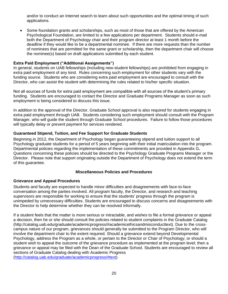and/or to conduct an Internet search to learn about such opportunities and the optimal timing of such applications.

 Some foundation grants and scholarships, such as most of those that are offered by the American Psychological Foundation, are limited to a few applications per department. Students should e-mail both the Department of Psychology chair and their program director at least 1 month before the deadline if they would like to be a departmental nominee. If there are more requests than the number of nominees that are permitted for the same grant or scholarship, then the department chair will choose the nominee(s) based on draft applications submitted by each student.

#### **Extra Paid Employment ("Additional Assignments")**

In general, students on UAB fellowships (including new-student fellowships) are prohibited from engaging in extra paid employment of any kind. Rules concerning such employment for other students vary with the funding source. Students who are considering extra paid employment are encouraged to consult with the Director, who can assist the student with determining the rules related to his/her specific situation.

Not all sources of funds for extra paid employment are compatible with all sources of the student's primary funding. Students are encouraged to contact the Director and Graduate Programs Manager as soon as such employment is being considered to discuss this issue.

In addition to the approval of the Director, Graduate School approval is also required for students engaging in extra paid employment through UAB. Students considering such employment should consult with the Program Manager, who will guide the student through Graduate School procedures. Failure to follow those procedures will typically delay or prevent payment for services rendered.

#### <span id="page-19-0"></span>**Guaranteed Stipend, Tuition, and Fee Support for Graduate Students**

Beginning in 2012, the Department of Psychology began guaranteeing stipend and tuition support to all Psychology graduate students for a period of 5 years beginning with their initial matriculation into the program. Departmental policies regarding the implementation of these commitments are provided in Appendix G**.** Questions concerning these policies should be directed to the Psychology Graduate Programs Manager or the Director. Please note that support originating outside the Department of Psychology does not extend the term of this guarantee.

#### **Miscellaneous Policies and Procedures**

#### <span id="page-19-2"></span><span id="page-19-1"></span>**Grievance and Appeal Procedures**

Students and faculty are expected to handle minor difficulties and disagreements with face-to-face conversation among the parties involved. All program faculty, the Director, and research and teaching supervisors are responsible for working to ensure that the students' progress through the program is unimpeded by unnecessary difficulties. Students are encouraged to discuss concerns and disagreements with the Director to help determine whether they can be resolved informally.

If a student feels that the matter is more serious or intractable, and wishes to file a formal grievance or appeal a decision, then he or she should consult the policies related to student complaints in the Graduate Catalog (http://catalog.uab.edu/graduate/academicprogress/#academicethicsandmisconducttext). Due to the crosscampus nature of our program, grievances should generally be submitted to the Program Director, who will involve the department chair to the extent required. Should a grievance extend beyond Developmental Psychology, address the Program as a whole, or pertain to the Director or Chair of Psychology; or should a student wish to appeal the outcome of the grievance procedure as implemented at the program level; then a grievance or appeal may be filed with the Dean of the Graduate School. Students are encouraged to review all sections of Graduate Catalog dealing with Academic Progress [\(http://catalog.uab.edu/graduate/academicprogress/#text\)](http://catalog.uab.edu/graduate/academicprogress/#text).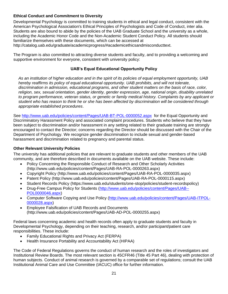#### <span id="page-20-0"></span>**Ethical Conduct and Commitment to Diversity**

Developmental Psychology is committed to training students in ethical and legal conduct, consistent with the American Psychological Association's Ethical Principles of Psychologists and Code of Conduct, inter alia. Students are also bound to abide by the policies of the UAB Graduate School and the university as a whole, including the Academic Honor Code and the Non-Academic Student Conduct Policy. All students should familiarize themselves with these documents, which can be accessed at http://catalog.uab.edu/graduate/academicprogress/#academicethicsandmisconducttext.

The Program is also committed to attracting diverse students and faculty, and to providing a welcoming and supportive environment for everyone, consistent with university policy:

#### **UAB's Equal Educational Opportunity Policy**

*As an institution of higher education and in the spirit of its policies of equal employment opportunity, UAB hereby reaffirms its policy of equal educational opportunity. UAB prohibits, and will not tolerate, discrimination in admission, educational programs, and other student matters on the basis of race, color, religion, sex, sexual orientation, gender identity, gender expression, age, national origin, disability unrelated to program performance, veteran status, or genetic or family medical history. Complaints by any applicant or student who has reason to think he or she has been affected by discrimination will be considered through appropriate established procedures*.

See<http://www.uab.edu/policies/content/Pages/UAB-BT-POL-0000052.aspx> for the Equal Opportunity and Discriminatory Harassment Policy and associated complaint procedures. Students who believe that they have been subject to discrimination and/or harassment in any setting related to their graduate training are strongly encouraged to contact the Director; concerns regarding the Director should be discussed with the Chair of the Department of Psychology. We recognize gender discrimination to include sexual and gender-based harassment and discrimination related to pregnancy and parental status.

#### <span id="page-20-1"></span>**Other Relevant University Policies**

The university has additional policies that are relevant to graduate students and other members of the UAB community, and are therefore described in documents available on the UAB website. These include:

- Policy Concerning the Responsible Conduct of Research and Other Scholarly Activities (http://www.uab.edu/policies/content/Pages/UAB-RA-POL-0000263.aspx)
- Copyright Policy (http://www.uab.edu/policies/content/Pages/UAB-RA-POL-0000035.aspx)
- Patent Policy (http://www.uab.edu/policies/content/Pages/UAB-RA-POL-0000115.aspx)
- Student Records Policy (https://www.uab.edu/students/one-stop/policies/student-recordspolicy)
- Drug-Free Campus Policy for Students [\(http://www.uab.edu/policies/content/Pages/UAB--](http://www.uab.edu/policies/content/Pages/UAB--POL0000046.aspx) [POL0000046.aspx\)](http://www.uab.edu/policies/content/Pages/UAB--POL0000046.aspx)
- Computer Software Copying and Use Policy [\(http://www.uab.edu/policies/content/Pages/UAB-ITPOL-](http://www.uab.edu/policies/content/Pages/UAB-ITPOL-0000028.aspx)[0000028.aspx\)](http://www.uab.edu/policies/content/Pages/UAB-ITPOL-0000028.aspx)
- Employee Falsification of UAB Records and Documents (http://www.uab.edu/policies/content/Pages/UAB-AD-POL-0000255.aspx)

Federal laws concerning academic and health records often apply to graduate students and faculty in Developmental Psychology, depending on their teaching, research, and/or participant/patient care responsibilities. These include:

- Family Educational Rights and Privacy Act (FERPA)
- Health Insurance Portability and Accountability Act (HIPAA)

The Code of Federal Regulations governs the conduct of human research and the roles of investigators and Institutional Review Boards. The most relevant section is 45CFR46 (Title 45 Part 46), dealing with protection of human subjects. Conduct of animal research is governed by a comparable set of regulations; consult the UAB Institutional Animal Care and Use Committee (IACUC) office for further information.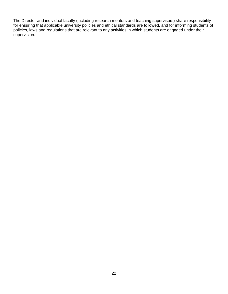The Director and individual faculty (including research mentors and teaching supervisors) share responsibility for ensuring that applicable university policies and ethical standards are followed, and for informing students of policies, laws and regulations that are relevant to any activities in which students are engaged under their supervision.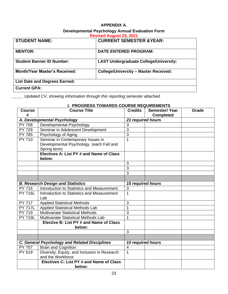#### **APPENDIX A.**

# **Developmental Psychology Annual Evaluation Form**

<span id="page-22-0"></span>

|                                      | <b>Revised August 23, 2021</b>                |
|--------------------------------------|-----------------------------------------------|
| <b>STUDENT NAME:</b>                 | <b>CURRENT SEMESTER &amp; YEAR:</b>           |
| <b>MENTOR:</b>                       | <b>DATE ENTERED PROGRAM:</b>                  |
| <b>Student Banner ID Number:</b>     | <b>LAST Undergraduate College/University:</b> |
| <b>Month/Year Master's Received:</b> | <b>College/University - Master Received:</b>  |
| <b>List Date and Degrees Earned:</b> |                                               |
| <b>Current GPA:</b>                  |                                               |

*\_\_\_\_\_ Updated CV, showing information through this reporting semester attached.*

#### **I. PROGRESS TOWARDS COURSE REQUIREMENTS**

| <b>Course</b><br>#                                   | <b>Course Title</b>                          | <b>Credits</b>           | <b>Semester/ Year</b><br><b>Completed</b> | Grade |
|------------------------------------------------------|----------------------------------------------|--------------------------|-------------------------------------------|-------|
|                                                      | A. Developmental Psychology                  | 21 required hours        |                                           |       |
| PY 708                                               | Developmental Psychology                     | 3                        |                                           |       |
| PY 729                                               | Seminar in Adolescent Development            | 3                        |                                           |       |
| PY 785                                               | Psychology of Aging                          | $\overline{3}$           |                                           |       |
| <b>PY 710</b>                                        | Seminar in Contemporary Issues in            | $\overline{1}$           |                                           |       |
|                                                      | Developmental Psychology (each Fall and      |                          |                                           |       |
|                                                      | Spring term)                                 |                          |                                           |       |
|                                                      | Electives A: List PY # and Name of Class     |                          |                                           |       |
|                                                      | below:                                       |                          |                                           |       |
|                                                      |                                              | 3                        |                                           |       |
|                                                      |                                              | 3                        |                                           |       |
|                                                      |                                              | 3                        |                                           |       |
|                                                      |                                              |                          |                                           |       |
| <b>B. Research Design and Statistics</b>             |                                              | <b>15 required hours</b> |                                           |       |
| PY 716                                               | Introduction to Statistics and Measurement   | 3                        |                                           |       |
| <b>PY 716L</b>                                       | Introduction to Statistics and Measurement   | 1                        |                                           |       |
|                                                      | Lab                                          |                          |                                           |       |
| PY 717                                               | <b>Applied Statistical Methods</b>           | 3                        |                                           |       |
| <b>PY 717L</b>                                       | Applied Statistical Methods Lab              | $\mathbf 1$              |                                           |       |
| PY 719                                               | <b>Multivariate Statistical Methods</b>      | 3                        |                                           |       |
| <b>PY 719L</b>                                       | Multivariate Statistical Methods Lab         | $\overline{1}$           |                                           |       |
|                                                      | Elective B: List PY # and Name of Class      |                          |                                           |       |
|                                                      | below:                                       |                          |                                           |       |
|                                                      |                                              | 3                        |                                           |       |
|                                                      |                                              |                          |                                           |       |
| <b>C. General Psychology and Related Disciplines</b> |                                              | 10 required hours        |                                           |       |
| PY 707                                               | <b>Brain and Cognition</b>                   | $\overline{\mathbf{4}}$  |                                           |       |
| PY 619                                               | Diversity, Equity, and Inclusion in Research | 1                        |                                           |       |
|                                                      | and the Workforce                            |                          |                                           |       |
|                                                      | Electives C: List PY # and Name of Class     |                          |                                           |       |
|                                                      | below:                                       |                          |                                           |       |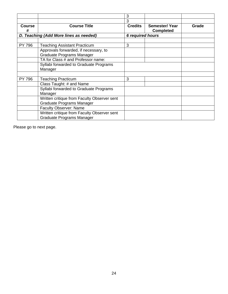|                    |                                                                           | 3                       |                                           |       |
|--------------------|---------------------------------------------------------------------------|-------------------------|-------------------------------------------|-------|
|                    |                                                                           | 3                       |                                           |       |
| <b>Course</b><br># | <b>Course Title</b>                                                       | <b>Credits</b>          | <b>Semester/ Year</b><br><b>Completed</b> | Grade |
|                    | D. Teaching (Add More lines as needed)                                    | <b>6 required hours</b> |                                           |       |
|                    |                                                                           |                         |                                           |       |
| PY 796             | <b>Teaching Assistant Practicum</b>                                       | 3                       |                                           |       |
|                    | Approvals forwarded, if necessary, to<br><b>Graduate Programs Manager</b> |                         |                                           |       |
|                    | TA for Class # and Professor name:                                        |                         |                                           |       |
|                    | Syllabi forwarded to Graduate Programs<br>Manager                         |                         |                                           |       |
|                    |                                                                           |                         |                                           |       |
| <b>PY 796</b>      | <b>Teaching Practicum</b>                                                 | 3                       |                                           |       |
|                    | Class Taught: # and Name                                                  |                         |                                           |       |
|                    | Syllabi forwarded to Graduate Programs<br>Manager                         |                         |                                           |       |
|                    | Written critique from Faculty Observer sent                               |                         |                                           |       |
|                    | Graduate Programs Manager                                                 |                         |                                           |       |
|                    | <b>Faculty Observer: Name</b>                                             |                         |                                           |       |
|                    | Written critique from Faculty Observer sent<br>Graduate Programs Manager  |                         |                                           |       |

Please go to next page.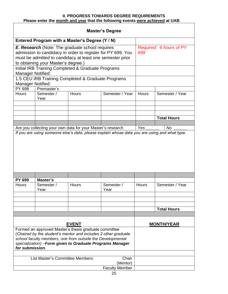#### **II. PROGRESS TOWARDS DEGREE REQUIREMENTS Please enter the month and year that the following events were achieved at UAB**

 $\Gamma$ 

| <b>Master's Degree</b>                                                                                                                                                                                                                                               |                    |                                                             |                    |              |                    |
|----------------------------------------------------------------------------------------------------------------------------------------------------------------------------------------------------------------------------------------------------------------------|--------------------|-------------------------------------------------------------|--------------------|--------------|--------------------|
|                                                                                                                                                                                                                                                                      |                    | Entered Program with a Master's Degree (Y / N)              |                    |              |                    |
| <b>E. Research</b> (Note: The graduate school requires<br>admission to candidacy in order to register for PY 699. You<br>must be admitted to candidacy at least one semester prior<br>to obtaining your Master's degree.)                                            |                    | Required: 6 hours of PY<br>699                              |                    |              |                    |
|                                                                                                                                                                                                                                                                      |                    | Initial IRB Training Completed & Graduate Programs          |                    |              |                    |
| <b>Manager Notified:</b>                                                                                                                                                                                                                                             |                    | 1.5 CEU IRB Training Completed & Graduate Programs          |                    |              |                    |
| <b>Manager Notified:</b>                                                                                                                                                                                                                                             |                    |                                                             |                    |              |                    |
| PY 698                                                                                                                                                                                                                                                               | Premaster's        |                                                             |                    |              |                    |
| Hours                                                                                                                                                                                                                                                                | Semester /<br>Year | Hours                                                       | Semester / Year    | <b>Hours</b> | Semester / Year    |
|                                                                                                                                                                                                                                                                      |                    |                                                             |                    |              |                    |
|                                                                                                                                                                                                                                                                      |                    |                                                             |                    |              |                    |
|                                                                                                                                                                                                                                                                      |                    |                                                             |                    |              | <b>Total Hours</b> |
|                                                                                                                                                                                                                                                                      |                    |                                                             |                    |              |                    |
|                                                                                                                                                                                                                                                                      |                    | Are you collecting your own data for your Master's research |                    | Yes          | <b>No</b>          |
|                                                                                                                                                                                                                                                                      |                    |                                                             |                    |              |                    |
| <b>PY 699</b>                                                                                                                                                                                                                                                        | Master's           |                                                             |                    |              |                    |
| <b>Hours</b>                                                                                                                                                                                                                                                         | Semester /<br>Year | Hours                                                       | Semester /<br>Year | <b>Hours</b> | Semester / Year    |
|                                                                                                                                                                                                                                                                      |                    |                                                             |                    |              |                    |
|                                                                                                                                                                                                                                                                      |                    |                                                             |                    |              |                    |
|                                                                                                                                                                                                                                                                      |                    |                                                             |                    |              | <b>Total Hours</b> |
|                                                                                                                                                                                                                                                                      |                    |                                                             |                    |              |                    |
| <b>EVENT</b>                                                                                                                                                                                                                                                         |                    |                                                             | <b>MONTH/YEAR</b>  |              |                    |
| Formed an approved Master's thesis graduate committee<br>(Chaired by the student's mentor and includes 2 other graduate<br>school faculty members, one from outside the Developmental<br>specialization) ~Form given to Graduate Programs Manager<br>for submission. |                    |                                                             |                    |              |                    |
|                                                                                                                                                                                                                                                                      |                    |                                                             |                    |              |                    |
| List Master's Committee Members:<br>Chair<br>(Mentor)<br><b>Faculty Member</b>                                                                                                                                                                                       |                    |                                                             |                    |              |                    |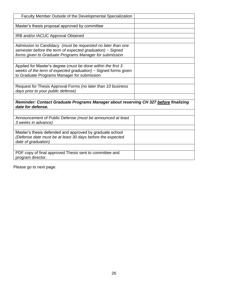| Faculty Member Outside of the Developmental Specialization                                                               |  |
|--------------------------------------------------------------------------------------------------------------------------|--|
|                                                                                                                          |  |
| Master's thesis proposal approved by committee                                                                           |  |
|                                                                                                                          |  |
| IRB and/or IACUC Approval Obtained                                                                                       |  |
|                                                                                                                          |  |
| Admission to Candidacy (must be requested no later than one<br>semester before the term of expected graduation) ~ Signed |  |
| forms given to Graduate Programs Manager for submission                                                                  |  |
|                                                                                                                          |  |
| Applied for Master's degree (must be done within the first 3                                                             |  |
| weeks of the term of expected graduation) $\sim$ Signed forms given                                                      |  |
| to Graduate Programs Manager for submission                                                                              |  |
|                                                                                                                          |  |
| Request for Thesis Approval Forms (no later than 10 business                                                             |  |
| days prior to your public defense)                                                                                       |  |
|                                                                                                                          |  |
| Reminder: Contact Graduate Programs Manager about reserving CH 327 before finalizing<br>date for defense.                |  |
|                                                                                                                          |  |
| Announcement of Public Defense (must be announced at least<br>3 weeks in advance)                                        |  |
|                                                                                                                          |  |
| Master's thesis defended and approved by graduate school                                                                 |  |
| (Defense date must be at least 30 days before the expected                                                               |  |
| date of graduation)                                                                                                      |  |
|                                                                                                                          |  |
|                                                                                                                          |  |

PDF copy of final approved Thesis sent to committee and program director.

Please go to next page.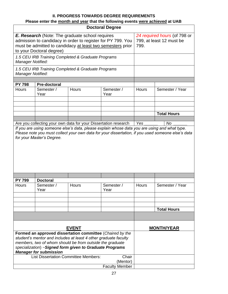# **II. PROGRESS TOWARDS DEGREE REQUIREMENTS**

# **Please enter the month and year that the following events were achieved at UAB**

| 24 required hours (of 798 or<br>admission to candidacy in order to register for PY 799. You<br>799, at least 12 must be<br>must be admitted to candidacy at least two semesters prior<br>799.<br>to your Doctoral degree)<br>1.5 CEU IRB Training Completed & Graduate Programs<br>Manager Notified:<br>1.5 CEU IRB Training Completed & Graduate Programs<br>Manager Notified:<br>Pre-doctoral<br>Semester / Year<br>Hours<br>Semester /<br>Hours<br>Semester /<br>Hours<br>Year<br>Year<br><b>Total Hours</b><br>Are you collecting your own data for your Dissertation research<br>Yes<br>No<br>If you are using someone else's data, please explain whose data you are using and what type.<br>Please note you must collect your own data for your dissertation, if you used someone else's data<br>for your Master's Degree.<br><b>Doctoral</b><br>Semester / Year<br>Hours<br>Hours<br>Semester /<br>Hours<br>Semester /<br>Year<br>Year<br><b>Total Hours</b><br><b>EVENT</b><br><b>MONTH/YEAR</b><br>Formed an approved dissertation committee (Chaired by the<br>student's mentor and includes at least 4 other graduate faculty<br>members, two of whom should be from outside the graduate<br>specialization) ~Signed form given to Graduate Programs<br><b>Manager for submission</b><br><b>List Dissertation Committee Members:</b><br>Chair<br>(Mentor)<br><b>Faculty Member</b> |                                                 |  | <b>Doctoral Degree</b> |  |  |
|------------------------------------------------------------------------------------------------------------------------------------------------------------------------------------------------------------------------------------------------------------------------------------------------------------------------------------------------------------------------------------------------------------------------------------------------------------------------------------------------------------------------------------------------------------------------------------------------------------------------------------------------------------------------------------------------------------------------------------------------------------------------------------------------------------------------------------------------------------------------------------------------------------------------------------------------------------------------------------------------------------------------------------------------------------------------------------------------------------------------------------------------------------------------------------------------------------------------------------------------------------------------------------------------------------------------------------------------------------------------------------------------|-------------------------------------------------|--|------------------------|--|--|
|                                                                                                                                                                                                                                                                                                                                                                                                                                                                                                                                                                                                                                                                                                                                                                                                                                                                                                                                                                                                                                                                                                                                                                                                                                                                                                                                                                                                | E. Research (Note: The graduate school requires |  |                        |  |  |
|                                                                                                                                                                                                                                                                                                                                                                                                                                                                                                                                                                                                                                                                                                                                                                                                                                                                                                                                                                                                                                                                                                                                                                                                                                                                                                                                                                                                |                                                 |  |                        |  |  |
|                                                                                                                                                                                                                                                                                                                                                                                                                                                                                                                                                                                                                                                                                                                                                                                                                                                                                                                                                                                                                                                                                                                                                                                                                                                                                                                                                                                                |                                                 |  |                        |  |  |
|                                                                                                                                                                                                                                                                                                                                                                                                                                                                                                                                                                                                                                                                                                                                                                                                                                                                                                                                                                                                                                                                                                                                                                                                                                                                                                                                                                                                |                                                 |  |                        |  |  |
|                                                                                                                                                                                                                                                                                                                                                                                                                                                                                                                                                                                                                                                                                                                                                                                                                                                                                                                                                                                                                                                                                                                                                                                                                                                                                                                                                                                                | <b>PY 798</b>                                   |  |                        |  |  |
|                                                                                                                                                                                                                                                                                                                                                                                                                                                                                                                                                                                                                                                                                                                                                                                                                                                                                                                                                                                                                                                                                                                                                                                                                                                                                                                                                                                                |                                                 |  |                        |  |  |
|                                                                                                                                                                                                                                                                                                                                                                                                                                                                                                                                                                                                                                                                                                                                                                                                                                                                                                                                                                                                                                                                                                                                                                                                                                                                                                                                                                                                |                                                 |  |                        |  |  |
|                                                                                                                                                                                                                                                                                                                                                                                                                                                                                                                                                                                                                                                                                                                                                                                                                                                                                                                                                                                                                                                                                                                                                                                                                                                                                                                                                                                                |                                                 |  |                        |  |  |
|                                                                                                                                                                                                                                                                                                                                                                                                                                                                                                                                                                                                                                                                                                                                                                                                                                                                                                                                                                                                                                                                                                                                                                                                                                                                                                                                                                                                |                                                 |  |                        |  |  |
|                                                                                                                                                                                                                                                                                                                                                                                                                                                                                                                                                                                                                                                                                                                                                                                                                                                                                                                                                                                                                                                                                                                                                                                                                                                                                                                                                                                                |                                                 |  |                        |  |  |
|                                                                                                                                                                                                                                                                                                                                                                                                                                                                                                                                                                                                                                                                                                                                                                                                                                                                                                                                                                                                                                                                                                                                                                                                                                                                                                                                                                                                |                                                 |  |                        |  |  |
|                                                                                                                                                                                                                                                                                                                                                                                                                                                                                                                                                                                                                                                                                                                                                                                                                                                                                                                                                                                                                                                                                                                                                                                                                                                                                                                                                                                                |                                                 |  |                        |  |  |
|                                                                                                                                                                                                                                                                                                                                                                                                                                                                                                                                                                                                                                                                                                                                                                                                                                                                                                                                                                                                                                                                                                                                                                                                                                                                                                                                                                                                |                                                 |  |                        |  |  |
|                                                                                                                                                                                                                                                                                                                                                                                                                                                                                                                                                                                                                                                                                                                                                                                                                                                                                                                                                                                                                                                                                                                                                                                                                                                                                                                                                                                                |                                                 |  |                        |  |  |
|                                                                                                                                                                                                                                                                                                                                                                                                                                                                                                                                                                                                                                                                                                                                                                                                                                                                                                                                                                                                                                                                                                                                                                                                                                                                                                                                                                                                | <b>PY 799</b>                                   |  |                        |  |  |
|                                                                                                                                                                                                                                                                                                                                                                                                                                                                                                                                                                                                                                                                                                                                                                                                                                                                                                                                                                                                                                                                                                                                                                                                                                                                                                                                                                                                |                                                 |  |                        |  |  |
|                                                                                                                                                                                                                                                                                                                                                                                                                                                                                                                                                                                                                                                                                                                                                                                                                                                                                                                                                                                                                                                                                                                                                                                                                                                                                                                                                                                                |                                                 |  |                        |  |  |
|                                                                                                                                                                                                                                                                                                                                                                                                                                                                                                                                                                                                                                                                                                                                                                                                                                                                                                                                                                                                                                                                                                                                                                                                                                                                                                                                                                                                |                                                 |  |                        |  |  |
|                                                                                                                                                                                                                                                                                                                                                                                                                                                                                                                                                                                                                                                                                                                                                                                                                                                                                                                                                                                                                                                                                                                                                                                                                                                                                                                                                                                                |                                                 |  |                        |  |  |
|                                                                                                                                                                                                                                                                                                                                                                                                                                                                                                                                                                                                                                                                                                                                                                                                                                                                                                                                                                                                                                                                                                                                                                                                                                                                                                                                                                                                |                                                 |  |                        |  |  |
|                                                                                                                                                                                                                                                                                                                                                                                                                                                                                                                                                                                                                                                                                                                                                                                                                                                                                                                                                                                                                                                                                                                                                                                                                                                                                                                                                                                                |                                                 |  |                        |  |  |
|                                                                                                                                                                                                                                                                                                                                                                                                                                                                                                                                                                                                                                                                                                                                                                                                                                                                                                                                                                                                                                                                                                                                                                                                                                                                                                                                                                                                |                                                 |  |                        |  |  |
|                                                                                                                                                                                                                                                                                                                                                                                                                                                                                                                                                                                                                                                                                                                                                                                                                                                                                                                                                                                                                                                                                                                                                                                                                                                                                                                                                                                                |                                                 |  |                        |  |  |
|                                                                                                                                                                                                                                                                                                                                                                                                                                                                                                                                                                                                                                                                                                                                                                                                                                                                                                                                                                                                                                                                                                                                                                                                                                                                                                                                                                                                |                                                 |  |                        |  |  |
|                                                                                                                                                                                                                                                                                                                                                                                                                                                                                                                                                                                                                                                                                                                                                                                                                                                                                                                                                                                                                                                                                                                                                                                                                                                                                                                                                                                                |                                                 |  |                        |  |  |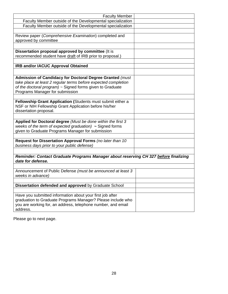| Faculty Member outside of the Developmental specialization<br>Faculty Member outside of the Developmental specialization<br>Review paper (Comprehensive Examination) completed and<br>approved by committee<br>Dissertation proposal approved by committee (It is<br>recommended student have draft of IRB prior to proposal.)<br>IRB and/or IACUC Approval Obtained<br>Admission of Candidacy for Doctoral Degree Granted (must<br>take place at least 2 regular terms before expected completion<br>of the doctoral program) ~ Signed forms given to Graduate<br>Programs Manager for submission<br>Fellowship Grant Application (Students must submit either a<br>NSF or NIH Fellowship Grant Application before his/her<br>dissertation proposal.<br>Applied for Doctoral degree (Must be done within the first 3<br>weeks of the term of expected graduation) $\sim$ Signed forms<br>given to Graduate Programs Manager for submission<br>Request for Dissertation Approval Forms (no later than 10<br>business days prior to your public defense)<br>Reminder: Contact Graduate Programs Manager about reserving CH 327 before finalizing<br>date for defense.<br>Announcement of Public Defense (must be announced at least 3<br>weeks in advance)<br>Dissertation defended and approved by Graduate School<br>Have you submitted information about your first job after<br>graduation to Graduate Programs Manager? Please include who<br>you are working for, an address, telephone number, and email<br>address. | <b>Faculty Member</b> |  |
|----------------------------------------------------------------------------------------------------------------------------------------------------------------------------------------------------------------------------------------------------------------------------------------------------------------------------------------------------------------------------------------------------------------------------------------------------------------------------------------------------------------------------------------------------------------------------------------------------------------------------------------------------------------------------------------------------------------------------------------------------------------------------------------------------------------------------------------------------------------------------------------------------------------------------------------------------------------------------------------------------------------------------------------------------------------------------------------------------------------------------------------------------------------------------------------------------------------------------------------------------------------------------------------------------------------------------------------------------------------------------------------------------------------------------------------------------------------------------------------------------------------------------|-----------------------|--|
|                                                                                                                                                                                                                                                                                                                                                                                                                                                                                                                                                                                                                                                                                                                                                                                                                                                                                                                                                                                                                                                                                                                                                                                                                                                                                                                                                                                                                                                                                                                            |                       |  |
|                                                                                                                                                                                                                                                                                                                                                                                                                                                                                                                                                                                                                                                                                                                                                                                                                                                                                                                                                                                                                                                                                                                                                                                                                                                                                                                                                                                                                                                                                                                            |                       |  |
|                                                                                                                                                                                                                                                                                                                                                                                                                                                                                                                                                                                                                                                                                                                                                                                                                                                                                                                                                                                                                                                                                                                                                                                                                                                                                                                                                                                                                                                                                                                            |                       |  |
|                                                                                                                                                                                                                                                                                                                                                                                                                                                                                                                                                                                                                                                                                                                                                                                                                                                                                                                                                                                                                                                                                                                                                                                                                                                                                                                                                                                                                                                                                                                            |                       |  |
|                                                                                                                                                                                                                                                                                                                                                                                                                                                                                                                                                                                                                                                                                                                                                                                                                                                                                                                                                                                                                                                                                                                                                                                                                                                                                                                                                                                                                                                                                                                            |                       |  |
|                                                                                                                                                                                                                                                                                                                                                                                                                                                                                                                                                                                                                                                                                                                                                                                                                                                                                                                                                                                                                                                                                                                                                                                                                                                                                                                                                                                                                                                                                                                            |                       |  |
|                                                                                                                                                                                                                                                                                                                                                                                                                                                                                                                                                                                                                                                                                                                                                                                                                                                                                                                                                                                                                                                                                                                                                                                                                                                                                                                                                                                                                                                                                                                            |                       |  |
|                                                                                                                                                                                                                                                                                                                                                                                                                                                                                                                                                                                                                                                                                                                                                                                                                                                                                                                                                                                                                                                                                                                                                                                                                                                                                                                                                                                                                                                                                                                            |                       |  |
|                                                                                                                                                                                                                                                                                                                                                                                                                                                                                                                                                                                                                                                                                                                                                                                                                                                                                                                                                                                                                                                                                                                                                                                                                                                                                                                                                                                                                                                                                                                            |                       |  |
|                                                                                                                                                                                                                                                                                                                                                                                                                                                                                                                                                                                                                                                                                                                                                                                                                                                                                                                                                                                                                                                                                                                                                                                                                                                                                                                                                                                                                                                                                                                            |                       |  |
|                                                                                                                                                                                                                                                                                                                                                                                                                                                                                                                                                                                                                                                                                                                                                                                                                                                                                                                                                                                                                                                                                                                                                                                                                                                                                                                                                                                                                                                                                                                            |                       |  |
|                                                                                                                                                                                                                                                                                                                                                                                                                                                                                                                                                                                                                                                                                                                                                                                                                                                                                                                                                                                                                                                                                                                                                                                                                                                                                                                                                                                                                                                                                                                            |                       |  |
|                                                                                                                                                                                                                                                                                                                                                                                                                                                                                                                                                                                                                                                                                                                                                                                                                                                                                                                                                                                                                                                                                                                                                                                                                                                                                                                                                                                                                                                                                                                            |                       |  |
|                                                                                                                                                                                                                                                                                                                                                                                                                                                                                                                                                                                                                                                                                                                                                                                                                                                                                                                                                                                                                                                                                                                                                                                                                                                                                                                                                                                                                                                                                                                            |                       |  |
|                                                                                                                                                                                                                                                                                                                                                                                                                                                                                                                                                                                                                                                                                                                                                                                                                                                                                                                                                                                                                                                                                                                                                                                                                                                                                                                                                                                                                                                                                                                            |                       |  |
|                                                                                                                                                                                                                                                                                                                                                                                                                                                                                                                                                                                                                                                                                                                                                                                                                                                                                                                                                                                                                                                                                                                                                                                                                                                                                                                                                                                                                                                                                                                            |                       |  |
|                                                                                                                                                                                                                                                                                                                                                                                                                                                                                                                                                                                                                                                                                                                                                                                                                                                                                                                                                                                                                                                                                                                                                                                                                                                                                                                                                                                                                                                                                                                            |                       |  |
|                                                                                                                                                                                                                                                                                                                                                                                                                                                                                                                                                                                                                                                                                                                                                                                                                                                                                                                                                                                                                                                                                                                                                                                                                                                                                                                                                                                                                                                                                                                            |                       |  |
|                                                                                                                                                                                                                                                                                                                                                                                                                                                                                                                                                                                                                                                                                                                                                                                                                                                                                                                                                                                                                                                                                                                                                                                                                                                                                                                                                                                                                                                                                                                            |                       |  |
|                                                                                                                                                                                                                                                                                                                                                                                                                                                                                                                                                                                                                                                                                                                                                                                                                                                                                                                                                                                                                                                                                                                                                                                                                                                                                                                                                                                                                                                                                                                            |                       |  |
|                                                                                                                                                                                                                                                                                                                                                                                                                                                                                                                                                                                                                                                                                                                                                                                                                                                                                                                                                                                                                                                                                                                                                                                                                                                                                                                                                                                                                                                                                                                            |                       |  |
|                                                                                                                                                                                                                                                                                                                                                                                                                                                                                                                                                                                                                                                                                                                                                                                                                                                                                                                                                                                                                                                                                                                                                                                                                                                                                                                                                                                                                                                                                                                            |                       |  |
|                                                                                                                                                                                                                                                                                                                                                                                                                                                                                                                                                                                                                                                                                                                                                                                                                                                                                                                                                                                                                                                                                                                                                                                                                                                                                                                                                                                                                                                                                                                            |                       |  |
|                                                                                                                                                                                                                                                                                                                                                                                                                                                                                                                                                                                                                                                                                                                                                                                                                                                                                                                                                                                                                                                                                                                                                                                                                                                                                                                                                                                                                                                                                                                            |                       |  |
|                                                                                                                                                                                                                                                                                                                                                                                                                                                                                                                                                                                                                                                                                                                                                                                                                                                                                                                                                                                                                                                                                                                                                                                                                                                                                                                                                                                                                                                                                                                            |                       |  |
|                                                                                                                                                                                                                                                                                                                                                                                                                                                                                                                                                                                                                                                                                                                                                                                                                                                                                                                                                                                                                                                                                                                                                                                                                                                                                                                                                                                                                                                                                                                            |                       |  |
|                                                                                                                                                                                                                                                                                                                                                                                                                                                                                                                                                                                                                                                                                                                                                                                                                                                                                                                                                                                                                                                                                                                                                                                                                                                                                                                                                                                                                                                                                                                            |                       |  |
|                                                                                                                                                                                                                                                                                                                                                                                                                                                                                                                                                                                                                                                                                                                                                                                                                                                                                                                                                                                                                                                                                                                                                                                                                                                                                                                                                                                                                                                                                                                            |                       |  |
|                                                                                                                                                                                                                                                                                                                                                                                                                                                                                                                                                                                                                                                                                                                                                                                                                                                                                                                                                                                                                                                                                                                                                                                                                                                                                                                                                                                                                                                                                                                            |                       |  |
|                                                                                                                                                                                                                                                                                                                                                                                                                                                                                                                                                                                                                                                                                                                                                                                                                                                                                                                                                                                                                                                                                                                                                                                                                                                                                                                                                                                                                                                                                                                            |                       |  |
|                                                                                                                                                                                                                                                                                                                                                                                                                                                                                                                                                                                                                                                                                                                                                                                                                                                                                                                                                                                                                                                                                                                                                                                                                                                                                                                                                                                                                                                                                                                            |                       |  |
|                                                                                                                                                                                                                                                                                                                                                                                                                                                                                                                                                                                                                                                                                                                                                                                                                                                                                                                                                                                                                                                                                                                                                                                                                                                                                                                                                                                                                                                                                                                            |                       |  |
|                                                                                                                                                                                                                                                                                                                                                                                                                                                                                                                                                                                                                                                                                                                                                                                                                                                                                                                                                                                                                                                                                                                                                                                                                                                                                                                                                                                                                                                                                                                            |                       |  |
|                                                                                                                                                                                                                                                                                                                                                                                                                                                                                                                                                                                                                                                                                                                                                                                                                                                                                                                                                                                                                                                                                                                                                                                                                                                                                                                                                                                                                                                                                                                            |                       |  |
|                                                                                                                                                                                                                                                                                                                                                                                                                                                                                                                                                                                                                                                                                                                                                                                                                                                                                                                                                                                                                                                                                                                                                                                                                                                                                                                                                                                                                                                                                                                            |                       |  |
|                                                                                                                                                                                                                                                                                                                                                                                                                                                                                                                                                                                                                                                                                                                                                                                                                                                                                                                                                                                                                                                                                                                                                                                                                                                                                                                                                                                                                                                                                                                            |                       |  |
|                                                                                                                                                                                                                                                                                                                                                                                                                                                                                                                                                                                                                                                                                                                                                                                                                                                                                                                                                                                                                                                                                                                                                                                                                                                                                                                                                                                                                                                                                                                            |                       |  |
|                                                                                                                                                                                                                                                                                                                                                                                                                                                                                                                                                                                                                                                                                                                                                                                                                                                                                                                                                                                                                                                                                                                                                                                                                                                                                                                                                                                                                                                                                                                            |                       |  |

Please go to next page.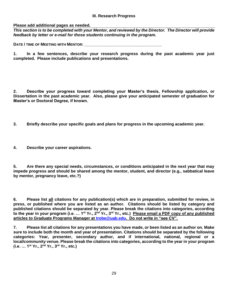#### **III. Research Progress**

**Please add additional pages as needed.**

*This section is to be completed with your Mentor, and reviewed by the Director. The Director will provide feedback by letter or e-mail for those students continuing in the program.*

**DATE / TIME OF MEETING WITH MENTOR:** 

**1. In a few sentences, describe your research progress during the past academic year just completed. Please include publications and presentations.** 

**2. Describe your progress toward completing your Master's thesis, Fellowship application, or Dissertation in the past academic year. Also, please give your anticipated semester of graduation for Master's or Doctoral Degree, if known.**

**3. Briefly describe your specific goals and plans for progress in the upcoming academic year.**

**4. Describe your career aspirations.**

**5. Are there any special needs, circumstances, or conditions anticipated in the next year that may impede progress and should be shared among the mentor, student, and director (e.g., sabbatical leave by mentor, pregnancy leave, etc.?)**

**6. Please list all citations for any publication(s) which are in preparation, submitted for review, in press, or published where you are listed as an author. Citations should be listed by category and published citations should be separated by year. Please break the citations into categories, according to the year in your program (i.e. … 1st Yr., 2nd Yr., 3rd Yr., etc.) Please email a PDF copy of any published articles to Graduate Programs Manager at [trobe@uab.edu.](mailto:trobe@uab.edu) Do not write in "see CV".**

**7. Please list all citations for any presentations you have made, or been listed as an author on. Make sure to include both the month and year of presentation. Citations should be separated by the following categories: Year, presenter, secondary author, and if international, national, regional or a local/community venue. Please break the citations into categories, according to the year in your program (i.e. … 1st Yr., 2nd Yr., 3rd Yr., etc.)**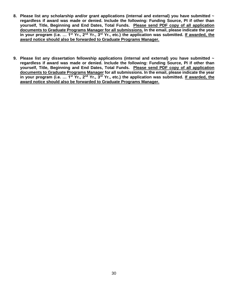- **8. Please list any scholarship and/or grant applications (internal and external) you have submitted ~ regardless if award was made or denied. Include the following: Funding Source, PI if other than yourself, Title, Beginning and End Dates, Total Funds. Please send PDF copy of all application documents to Graduate Programs Manager for all submissions. In the email, please indicate the year in your program (i.e. … 1st Yr., 2nd Yr., 3rd Yr., etc.) the application was submitted. If awarded, the award notice should also be forwarded to Graduate Programs Manager.**
- **9. Please list any dissertation fellowship applications (internal and external) you have submitted ~ regardless if award was made or denied. Include the following: Funding Source, PI if other than yourself, Title, Beginning and End Dates, Total Funds. Please send PDF copy of all application documents to Graduate Programs Manager for all submissions. In the email, please indicate the year in your program (i.e. … 1st Yr., 2nd Yr., 3rd Yr., etc.) the application was submitted. If awarded, the award notice should also be forwarded to Graduate Programs Manager.**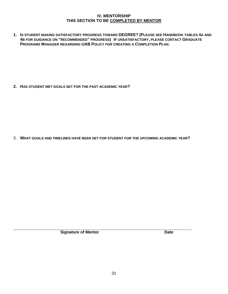#### **IV. MENTORSHIP THIS SECTION TO BE COMPLETED BY MENTOR**

**1. IS STUDENT MAKING SATISFACTORY PROGRESS TOWARD DEGREE? (PLEASE SEE HANDBOOK TABLES 4A AND 4B FOR GUIDANCE ON "RECOMMENDED" PROGRESS) IF UNSATISFACTORY, PLEASE CONTACT GRADUATE PROGRAMS MANAGER REGARDING UAB POLICY FOR CREATING A** *COMPLETION PLAN.*

**2. HAS STUDENT MET GOALS SET FOR THE PAST ACADEMIC YEAR?**

3. **WHAT GOALS AND TIMELINES HAVE BEEN SET FOR STUDENT FOR THE UPCOMING ACADEMIC YEAR?** 

**Signature of Mentor Date**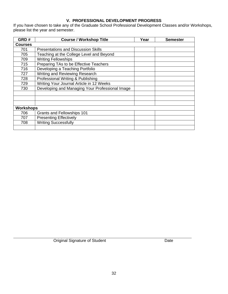# **V. PROFESSIONAL DEVELOPMENT PROGRESS**

If you have chosen to take any of the Graduate School Professional Development Classes and/or Workshops, please list the year and semester.

| GRD#             | <b>Course / Workshop Title</b>                  | Year | <b>Semester</b> |
|------------------|-------------------------------------------------|------|-----------------|
| <b>Courses</b>   |                                                 |      |                 |
| 701              | <b>Presentations and Discussion Skills</b>      |      |                 |
| 705              | Teaching at the College Level and Beyond        |      |                 |
| 709              | <b>Writing Fellowships</b>                      |      |                 |
| 715              | Preparing TAs to be Effective Teachers          |      |                 |
| 716              | Developing a Teaching Portfolio                 |      |                 |
| 727              | Writing and Reviewing Research                  |      |                 |
| 728              | Professional Writing & Publishing               |      |                 |
| 729              | Writing Your Journal Article in 12 Weeks        |      |                 |
| 730              | Developing and Managing Your Professional Image |      |                 |
|                  |                                                 |      |                 |
|                  |                                                 |      |                 |
|                  |                                                 |      |                 |
| <b>Workshops</b> |                                                 |      |                 |
| 706              | Grants and Fellowships 101                      |      |                 |
| 707              | <b>Presenting Effectively</b>                   |      |                 |
| 708              | <b>Writing Successfully</b>                     |      |                 |
|                  |                                                 |      |                 |

Original Signature of Student Date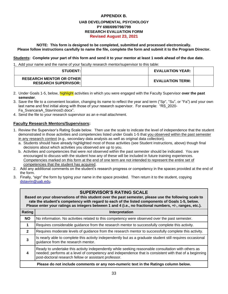#### **APPENDIX B. UAB DEVELOPMENTAL PSYCHOLOGY PY 698/699/798/799 RESEARCH EVALUATION FORM Revised August 23, 2021**

#### <span id="page-32-0"></span>**NOTE: This form is designed to be completed, submitted and processed electronically. Please follow instructions carefully to name the file, complete the form and submit it to the Program Director.**

#### **Students: Complete your part of this form and send it to your mentor at least 1 week ahead of the due date.**

1. Add your name and the name of your faculty research mentor/supervisor to this table:

| <b>STUDENT:</b>                                                | <b>EVALUATION YEAR:</b> |  |
|----------------------------------------------------------------|-------------------------|--|
| <b>RESEARCH MENTOR OR OTHER</b><br><b>RESEARCH SUPERVISOR:</b> | <b>EVALUATION TERM:</b> |  |

- 2. Under Goals 1-5, below, highlight activities in which you were engaged with the Faculty Supervisor **over the past semester**.
- 3. Save the file to a convenient location, changing its name to reflect the year and term ("Sp", "Su", or "Fa") and your own last name and first initial along with those of your research supervisor. For example: "RS\_2020- Fa\_SvancaraA\_StavrinosD.docx".
- 4. Send the file to your research supervisor as an e-mail attachment.

#### **Faculty Research Mentors/Supervisors:**

- 1. Review the Supervisor's Rating Scale below. Then use the scale to indicate the level of independence that the student demonstrated in those activities and competencies listed under Goals 1-5 that you observed within the past semester in any research context (e.g., secondary data analysis as well as original data collection).
	- a. Students should have already highlighted most of those activities (see Student instructions, above) though final decisions about which activities you observed are up to you.
	- b. Activities and competencies that were *not* observed within the past semester should be indicated. You are encouraged to discuss with the student how any of these will be included in future training experiences. Competencies marked on this form at the end of one term are not intended to represent the entire set of competencies that the student has acquired.
- 2. Add any additional comments on the student's research progress or competency in the spaces provided at the end of the form.
- 3. Finally, "sign" the form by typing your name in the space provided. Then return it to the student, copying dstavrin@uab.edu.

#### **SUPERVISOR'S RATING SCALE**

**Based on your observations of this student over the past semester, please use the following scale to rate the student's competency with regard to each of the listed components of Goals 1-5, below. Please enter your ratings as integers between 1 and 4 (i.e., no fractional numbers, +/-, ranges, etc.).**

| Rating         | Interpretation                                                                                                                                                                                                                                                         |
|----------------|------------------------------------------------------------------------------------------------------------------------------------------------------------------------------------------------------------------------------------------------------------------------|
| <b>NO</b>      | No information. No activities related to this competency were observed over the past semester.                                                                                                                                                                         |
|                | Requires considerable guidance from the research mentor to successfully complete this activity.                                                                                                                                                                        |
| $\overline{2}$ | Requires moderate levels of guidance from the research mentor to successfully complete this activity.                                                                                                                                                                  |
| 3              | Is nearly able to complete this activity independently but as a graduate student still requires occasional<br>guidance from the research mentor.                                                                                                                       |
| 4              | Ready to undertake this activity independently while seeking reasonable consultation with others as<br>needed; performs at a level of competency and independence that is consistent with that of a beginning<br>post-doctoral research fellow or assistant professor. |
|                | Please do not include comments or any non-numeric text in the Ratings column below.                                                                                                                                                                                    |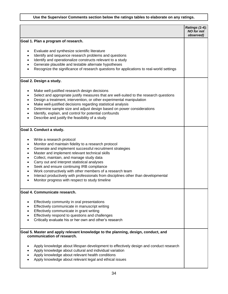### **Use the Supervisor Comments section below the ratings tables to elaborate on any ratings.**

|                                                                                                                                                                                                                                                                                                                                                                                                                                                                                                                                                                                                                                                             | Ratings (1-4);<br><b>NO</b> for not<br>observed) |
|-------------------------------------------------------------------------------------------------------------------------------------------------------------------------------------------------------------------------------------------------------------------------------------------------------------------------------------------------------------------------------------------------------------------------------------------------------------------------------------------------------------------------------------------------------------------------------------------------------------------------------------------------------------|--------------------------------------------------|
| Goal 1. Plan a program of research.                                                                                                                                                                                                                                                                                                                                                                                                                                                                                                                                                                                                                         |                                                  |
| Evaluate and synthesize scientific literature<br>$\bullet$<br>Identify and sequence research problems and questions<br>$\bullet$<br>Identify and operationalize constructs relevant to a study<br>$\bullet$<br>Generate plausible and testable alternate hypotheses<br>$\bullet$<br>Recognize the significance of research questions for applications to real-world settings                                                                                                                                                                                                                                                                                |                                                  |
| Goal 2. Design a study.                                                                                                                                                                                                                                                                                                                                                                                                                                                                                                                                                                                                                                     |                                                  |
| Make well-justified research design decisions<br>$\bullet$<br>Select and appropriate justify measures that are well-suited to the research questions<br>$\bullet$<br>Design a treatment, intervention, or other experimental manipulation<br>$\bullet$<br>Make well-justified decisions regarding statistical analysis<br>$\bullet$<br>Determine sample size and adjust design based on power considerations<br>$\bullet$<br>Identify, explain, and control for potential confounds<br>$\bullet$<br>Describe and justify the feasibility of a study                                                                                                         |                                                  |
| Goal 3. Conduct a study.                                                                                                                                                                                                                                                                                                                                                                                                                                                                                                                                                                                                                                    |                                                  |
| Write a research protocol<br>٠<br>Monitor and maintain fidelity to a research protocol<br>$\bullet$<br>Generate and implement successful recruitment strategies<br>$\bullet$<br>Master and implement relevant technical skills<br>$\bullet$<br>Collect, maintain, and manage study data<br>$\bullet$<br>Carry out and interpret statistical analyses<br>$\bullet$<br>Seek and ensure continuing IRB compliance<br>$\bullet$<br>Work constructively with other members of a research team<br>$\bullet$<br>Interact productively with professionals from disciplines other than developmental<br>$\bullet$<br>Monitor progress with respect to study timeline |                                                  |
| Goal 4. Communicate research.                                                                                                                                                                                                                                                                                                                                                                                                                                                                                                                                                                                                                               |                                                  |
| Effectively community in oral presentations<br>٠<br>Effectively communicate in manuscript writing<br>Effectively communicate in grant writing<br>Effectively respond to questions and challenges<br>Critically evaluate his or her own and other's research                                                                                                                                                                                                                                                                                                                                                                                                 |                                                  |
| Goal 5. Master and apply relevant knowledge to the planning, design, conduct, and<br>communication of research.                                                                                                                                                                                                                                                                                                                                                                                                                                                                                                                                             |                                                  |
| Apply knowledge about lifespan development to effectively design and conduct research<br>Apply knowledge about cultural and individual variation<br>Apply knowledge about relevant health conditions<br>Apply knowledge about relevant legal and ethical issues                                                                                                                                                                                                                                                                                                                                                                                             |                                                  |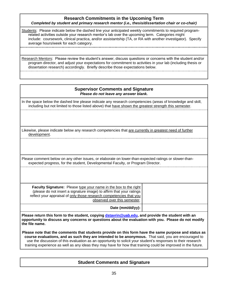#### **Research Commitments in the Upcoming Term** *Completed by student and primary research mentor (i.e., thesis/dissertation chair or co-chair)*

Students: Please indicate below the dashed line your anticipated weekly commitments to required programrelated activities outside your research mentor's lab over the upcoming term. Categories might include: coursework, clinical practica, and/or assistantship (TA, or RA with another investigator). Specify average hours/week for each category.

Research Mentors: Please review the student's answer, discuss questions or concerns with the student and/or program director, and adjust your expectations for commitment to activities in your lab (including thesis or dissertation research) accordingly. Briefly describe those expectations below.

#### **Supervisor Comments and Signature** *Please do not leave any answer blank.*

In the space below the dashed line please indicate any research competencies (areas of knowledge and skill, including but not limited to those listed above) that have shown the greatest strength this semester.

Likewise, please indicate below any research competencies that are currently in greatest need of further development.

Please comment below on any other issues, or elaborate on lower-than-expected ratings or slower-thanexpected progress, for the student, Developmental Faculty, or Program Director.

**Faculty Signature:** Please type your name in the box to the right (please do not insert a signature image) to affirm that your ratings reflect your appraisal of only those research competencies that you observed over this semester.

**Date (mm/dd/yy):**

**Please return this form to the student, copying [dstavrin@uab.edu,](mailto:dstavrin@uab.edu) and provide the student with an opportunity to discuss any concerns or questions about the evaluation with you. Please do not modify the file name.**

**Please note that the comments that students provide on this form have the same purpose and status as course evaluations, and as such they are intended to be anonymous.**That said, you are encouraged to use the discussion of this evaluation as an opportunity to solicit your student's responses to their research training experience as well as any ideas they may have for how that training could be improved in the future.

#### **Student Comments and Signature**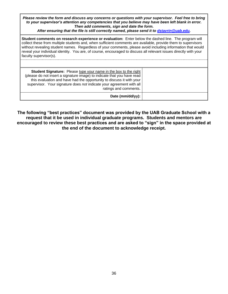*Please review the form and discuss any concerns or questions with your supervisor. Feel free to bring to your supervisor's attention any competencies that you believe may have been left blank in error. Then add comments, sign and date the form.* 

*After ensuring that the file is still correctly named, please send it to [dstavrin@uab.edu.](mailto:dstavrin@uab.edu)*

**Student comments on research experience or evaluation:** Enter below the dashed line. The program will collect these from multiple students and, when sufficient comments are available, provide them to supervisors without revealing student names. Regardless of your comments, please avoid including information that would reveal your individual identity. You are, of course, encouraged to discuss all relevant issues directly with your faculty supervisor(s).

| <b>Student Signature:</b> Please type your name in the box to the right<br>(please do not insert a signature image) to indicate that you have read<br>this evaluation and have had the opportunity to discuss it with your<br>supervisor. Your signature does not indicate your agreement with all<br>ratings and comments. |
|-----------------------------------------------------------------------------------------------------------------------------------------------------------------------------------------------------------------------------------------------------------------------------------------------------------------------------|
| Date (mm/dd/yy):                                                                                                                                                                                                                                                                                                            |

**The following "best practices" document was provided by the UAB Graduate School with a request that it be used in individual graduate programs. Students and mentors are encouraged to review these best practices and are asked to "sign" in the space provided at the end of the document to acknowledge receipt.**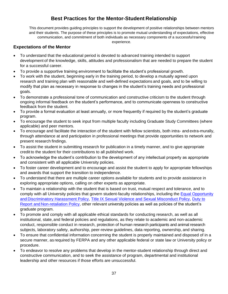# **Best Practices for the Mentor-Student Relationship**

This document provides guiding principles to support the development of positive relationships between mentors and their students. The purpose of these principles is to promote mutual understanding of expectations, effective communication, and commitment of both individuals as necessary components of a successful training experience.

### **Expectations of the Mentor**

- To understand that the educational period is devoted to advanced training intended to support development of the knowledge, skills, attitudes and professionalism that are needed to prepare the student for a successful career.
- To provide a supportive training environment to facilitate the student's professional growth.
- To work with the student, beginning early in the training period, to develop a mutually agreed upon research and training plan with reasonable and well-defined expectations and goals, and to be willing to modify that plan as necessary in response to changes in the student's training needs and professional goals.
- To demonstrate a professional tone of communication and constructive criticism to the student through ongoing informal feedback on the student's performance, and to communicate openness to constructive feedback from the student.
- To provide a formal evaluation at least annually, or more frequently if required by the student's graduate program.
- To encourage the student to seek input from multiple faculty including Graduate Study Committees (where applicable) and peer mentors.
- To encourage and facilitate the interaction of the student with fellow scientists, both intra- and extra-murally, through attendance at and participation in professional meetings that provide opportunities to network and present research findings.
- To assist the student in submitting research for publication in a timely manner, and to give appropriate credit to the student for their contributions to all published work.
- To acknowledge the student's contribution to the development of any intellectual property as appropriate and consistent with all applicable University policies.
- To foster career development and to encourage and assist the student to apply for appropriate fellowships and awards that support the transition to independence.
- To understand that there are multiple career options available for students and to provide assistance in exploring appropriate options, calling on other experts as appropriate.
- To maintain a relationship with the student that is based on trust, mutual respect and tolerance, and to comply with all University policies that govern student-faculty relationships, including the [Equal Opportunity](http://www.uab.edu/policies/content/Pages/UAB-BT-POL-0000052.aspx)  and [Discriminatory Harassment Policy,](http://www.uab.edu/policies/content/Pages/UAB-BT-POL-0000052.aspx) [Title IX Sexual Violence and Sexual Misconduct Policy,](http://www.uab.edu/policies/content/Pages/UAB-UC-POL-0000777.aspx) [Duty to](http://www.uab.edu/policies/content/Pages/UAB-UC-POL-0000763.aspx)  Report and [Non-retaliation Policy,](http://www.uab.edu/policies/content/Pages/UAB-UC-POL-0000763.aspx) other relevant university policies as well as policies of the student's graduate program.
- To promote and comply with all applicable ethical standards for conducting research, as well as all institutional, state, and federal policies and regulations, as they relate to academic and non-academic conduct, responsible conduct in research, protection of human research participants and animal research subjects, laboratory safety, authorship, peer-review guidelines, data reporting, ownership, and sharing.
- To ensure that confidential information concerning the student is properly maintained and disposed of in a secure manner, as required by FERPA and any other applicable federal or state law or University policy or procedure.
- To endeavor to resolve any problems that develop in the mentor-student relationship through direct and constructive communication, and to seek the assistance of program, departmental and institutional leadership and other resources if those efforts are unsuccessful.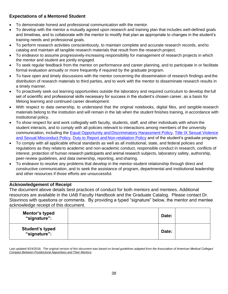# **Expectations of a Mentored Student**

- To demonstrate honest and professional communication with the mentor.
- To develop with the mentor a mutually agreed upon research and training plan that includes well-defined goals and timelines, and to collaborate with the mentor to modify that plan as appropriate to changes in the student's training needs and professional goals.
- To perform research activities conscientiously, to maintain complete and accurate research records, and to catalog and maintain all tangible research materials that result from the research project.
- To endeavor to assume progressively-increasing responsibility for management of research projects in which the mentor and student are jointly engaged.
- To seek regular feedback from the mentor on performance and career planning, and to participate in or facilitate formal evaluation annually or more frequently if required by the graduate program.
- To have open and timely discussions with the mentor concerning the dissemination of research findings and the distribution of research materials to third parties, and to work with the mentor to disseminate research results in a timely manner.
- To proactively seek out learning opportunities outside the laboratory and required curriculum to develop the full set of scientific and professional skills necessary for success in the student's chosen career, as a basis for lifelong learning and continued career development.
- With respect to data ownership, to understand that the original notebooks, digital files, and tangible research materials belong to the institution and will remain in the lab when the student finishes training, in accordance with institutional policy.
- To show respect for and work collegially with faculty, students, staff, and other individuals with whom the student interacts, and to comply with all policies relevant to interactions among members of the university communication, including the **Equal Opportunity and Discriminatory Harassment Policy**, Title IX Sexual Violence [and Sexual Misconduct Policy,](http://www.uab.edu/policies/content/Pages/UAB-UC-POL-0000777.aspx) Duty to Report and [Non-retaliation Policy](http://www.uab.edu/policies/content/Pages/UAB-UC-POL-0000763.aspx) and of the student's graduate program.
- To comply with all applicable ethical standards as well as all institutional, state, and federal policies and regulations as they relate to academic and non-academic conduct, responsible conduct in research, conflicts of interest, protection of human research participants and animal research subjects, laboratory safety, authorship, peer-review guidelines, and data ownership, reporting, and sharing.
- To endeavor to resolve any problems that develop in the mentor-student relationship through direct and constructive communication, and to seek the assistance of program, departmental and institutional leadership and other resources if those efforts are unsuccessful.

## **Acknowledgement of Receipt**

The document above details best practices of conduct for both mentors and mentees. Additional resources are available in the UAB Faculty Handbook and the Graduate Catalog. Please contact Dr. Stavrinos with questions or comments. By providing a typed "signature" below, the mentor and mentee acknowledge receipt of this document.

| <b>Mentor's typed</b><br>"signature":  | Date: |  |
|----------------------------------------|-------|--|
| <b>Student's typed</b><br>"signature": | Date: |  |

Last updated 9/24/2018. *The original version of this document was based on broad guidelines adapted from the Association of American Medical Colleges' Compact Between [Postdoctoral](https://www.aamc.org/initiatives/research/postdoccompact/) Appointees and Their Mentors.*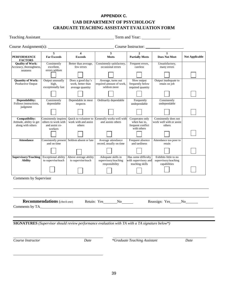# **APPENDIX C. UAB DEPARTMENT OF PSYCHOLOGY GRADUATE TEACHING ASSISTANT EVALUATION FORM**

<span id="page-38-0"></span>Teaching Assistant Term and Year:

Course Assignment(s): Course Instructor: \_\_\_\_\_\_\_

|                                                                 | 5                                                                         | $\overline{\mathbf{4}}$                                    | 3                                                                                                      | $\mathbf{2}$                                                        | $\mathbf{1}$                                                  |                       |
|-----------------------------------------------------------------|---------------------------------------------------------------------------|------------------------------------------------------------|--------------------------------------------------------------------------------------------------------|---------------------------------------------------------------------|---------------------------------------------------------------|-----------------------|
| <b>PERFORMANCE</b><br><b>FACTORS</b>                            | <b>Far Exceeds</b>                                                        | <b>Exceeds</b>                                             | <b>Meets</b>                                                                                           | <b>Partially Meets</b>                                              | <b>Does Not Meet</b>                                          | <b>Not Applicable</b> |
| <b>Quality of Work:</b><br>Accuracy, thoroughness,              | Consistently<br>excellent,                                                | Better than average,<br>few errors                         | Consistently satisfactory,<br>occasional errors                                                        | Frequent errors,<br>careless                                        | Unsatisfactory,<br>many errors                                |                       |
| neatness                                                        | errors seldom                                                             |                                                            |                                                                                                        |                                                                     |                                                               |                       |
| <b>Quantity of Work:</b><br>Productive Output                   | Output unusually<br>high,<br>exceptionally fast                           | Does a good day's<br>work, better than<br>average quantity | Average, turns out<br>required amount of work,<br>seldom more                                          | Slow output<br>frequently below<br>required quantity                | Output inadequate to<br>retain on job                         |                       |
|                                                                 |                                                                           |                                                            |                                                                                                        |                                                                     |                                                               |                       |
| Dependability:<br>Follows instructions,<br>judgment             | Consistently<br>dependable                                                | Dependable in most<br>respects                             | Ordinarily dependable                                                                                  | Frequently<br>undependable                                          | Consistently<br>undependable                                  |                       |
|                                                                 |                                                                           |                                                            |                                                                                                        |                                                                     |                                                               |                       |
| Compatibility:<br>Attitude, ability to get<br>along with others | Consistently inspires<br>others to work with<br>and assist co-<br>workers | Quick to volunteer to<br>work with and assist<br>others    | Generally works well with<br>and assists others                                                        | Cooperates only<br>when has to,<br>frequent conflict<br>with others | Consistently does not<br>work well with or assist<br>others   |                       |
|                                                                 |                                                                           |                                                            |                                                                                                        |                                                                     |                                                               |                       |
| <b>Attendance</b>                                               | Consistently present<br>and on time                                       | Seldom absent or late                                      | Average attendance<br>record, usually on time                                                          | Frequent absence<br>and tardiness                                   | Attendance too poor to<br>retain                              |                       |
|                                                                 |                                                                           |                                                            |                                                                                                        |                                                                     |                                                               |                       |
| <b>Supervisory/Teaching</b><br><b>Ability</b>                   | Exceptional ability<br>to supervise/teach                                 | Above average ability<br>to supervise/teach                | Adequate skills in<br>supervisory/teaching<br>responsibility                                           | Has some difficulty<br>with supervisory and<br>teaching skills      | Exhibits little to no<br>supervisory/teaching<br>capabilities |                       |
|                                                                 |                                                                           |                                                            |                                                                                                        |                                                                     |                                                               |                       |
| Comments by Supervisor                                          |                                                                           |                                                            |                                                                                                        |                                                                     |                                                               |                       |
| Comments by TA_                                                 | <b>Recommendations</b> (check one)                                        |                                                            | Retain: Yes_________No_______                                                                          |                                                                     | Reassign: Yes No                                              |                       |
|                                                                 |                                                                           |                                                            |                                                                                                        |                                                                     |                                                               |                       |
|                                                                 |                                                                           |                                                            | <b>SIGNATURES</b> (Supervisor should review performance evaluation with TA with a TA signature below*) |                                                                     |                                                               |                       |
| Course Instructor                                               |                                                                           | Date                                                       |                                                                                                        | *Graduate Teaching Assistant                                        |                                                               | Date                  |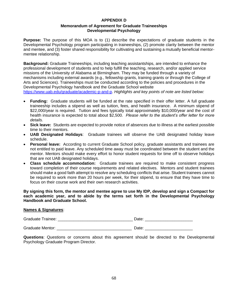#### **APPENDIX D**

#### **Memorandum of Agreement for Graduate Traineeships Developmental Psychology**

<span id="page-39-0"></span>**Purpose:** The purpose of this MOA is to (1) describe the expectations of graduate students in the Developmental Psychology program participating in traineeships, (2) promote clarity between the mentor and mentee, and (3) foster shared responsibility for cultivating and sustaining a mutually beneficial mentormentee relationship.

**Background:** Graduate Traineeships, including teaching assistantships, are intended to enhance the professional development of students and to help fulfill the teaching, research, and/or applied service missions of the University of Alabama at Birmingham. They may be funded through a variety of mechanisms including external awards (e.g., fellowship grants, training grants or through the College of Arts and Sciences). Traineeships must be conducted according to the policies and procedures in the Developmental Psychology handbook and the Graduate School website

[https://www.uab.edu/graduate/academic-p-and-p.](https://www.uab.edu/graduate/academic-p-and-p) *Highlights and key points of note are listed below:*

- **Funding:** Graduate students will be funded at the rate specified in their offer letter. A full graduate traineeship includes a stipend as well as tuition, fees, and health insurance. A minimum stipend of \$22,000/year is required. Tuition and fees typically total approximately \$10,000/year and the cost of health insurance is expected to total about \$2,500. *Please refer to the student's offer letter for more details.*
- **Sick leave:** Students are expected to provide notice of absences due to illness at the earliest possible time to their mentors.
- **UAB Designated Holidays**: Graduate trainees will observe the UAB designated holiday leave schedule.
- **Personal leave:** According to current Graduate School policy, graduate assistants and trainees are not entitled to paid leave. Any scheduled time away must be coordinated between the student and the mentor. Mentors should make every effort to honor student requests for time off to observe holidays that are not UAB designated holidays.
- **Class schedule accommodation:** Graduate trainees are required to make consistent progress toward completion of their course requirements and related electives. Mentors and student trainees should make a good faith attempt to resolve any scheduling conflicts that arise. Student trainees cannot be required to work more than 20 hours per week, for their stipend, to ensure that they have time to focus on their course work and their own research activities.

**By signing this form, the mentor and mentee agree to use My IDP, develop and sign a Compact for each academic year, and to abide by the terms set forth in the Developmental Psychology Handbook and Graduate School.**

#### **Names & Signatures**:

| $\sim$<br>- | ___<br>____ | --<br>_______________<br>__________ |
|-------------|-------------|-------------------------------------|
|             |             |                                     |

Graduate Mentor: etc. and the set of the set of the set of the Date:  $\Box$  Date:

**Questions**: Questions or concerns about this agreement should be directed to the Developmental Psychology Graduate Program Director.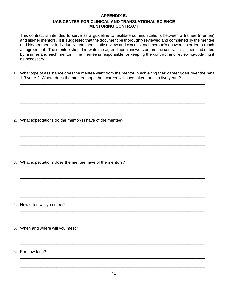#### **APPENDIX E.**

#### **UAB CENTER FOR CLINICAL AND TRANSLATIONAL SCIENCE MENTORING CONTRACT**

<span id="page-40-0"></span>This contract is intended to serve as a guideline to facilitate communications between a trainee (mentee) and his/her mentors. It is suggested that the document be thoroughly reviewed and completed by the mentee and his/her mentor individually, and then jointly review and discuss each person's answers in order to reach an agreement. The mentee should re-write the agreed upon answers before the contract is signed and dated by him/her and each mentor. The mentee is responsible for keeping the contract and reviewing/updating it as necessary.

1. What type of assistance does the mentee want from the mentor in achieving their career goals over the next 1-3 years? Where does the mentee hope their career will have taken them in five years?

\_\_\_\_\_\_\_\_\_\_\_\_\_\_\_\_\_\_\_\_\_\_\_\_\_\_\_\_\_\_\_\_\_\_\_\_\_\_\_\_\_\_\_\_\_\_\_\_\_\_\_\_\_\_\_\_\_\_\_\_\_\_\_\_\_\_\_\_\_\_\_\_\_\_\_\_\_\_\_\_\_

\_\_\_\_\_\_\_\_\_\_\_\_\_\_\_\_\_\_\_\_\_\_\_\_\_\_\_\_\_\_\_\_\_\_\_\_\_\_\_\_\_\_\_\_\_\_\_\_\_\_\_\_\_\_\_\_\_\_\_\_\_\_\_\_\_\_\_\_\_\_\_\_\_\_\_\_\_\_\_\_\_

\_\_\_\_\_\_\_\_\_\_\_\_\_\_\_\_\_\_\_\_\_\_\_\_\_\_\_\_\_\_\_\_\_\_\_\_\_\_\_\_\_\_\_\_\_\_\_\_\_\_\_\_\_\_\_\_\_\_\_\_\_\_\_\_\_\_\_\_\_\_\_\_\_\_\_\_\_\_\_\_\_

\_\_\_\_\_\_\_\_\_\_\_\_\_\_\_\_\_\_\_\_\_\_\_\_\_\_\_\_\_\_\_\_\_\_\_\_\_\_\_\_\_\_\_\_\_\_\_\_\_\_\_\_\_\_\_\_\_\_\_\_\_\_\_\_\_\_\_\_\_\_\_\_\_\_\_\_\_\_\_\_\_

\_\_\_\_\_\_\_\_\_\_\_\_\_\_\_\_\_\_\_\_\_\_\_\_\_\_\_\_\_\_\_\_\_\_\_\_\_\_\_\_\_\_\_\_\_\_\_\_\_\_\_\_\_\_\_\_\_\_\_\_\_\_\_\_\_\_\_\_\_\_\_\_\_\_\_\_\_\_\_\_\_

\_\_\_\_\_\_\_\_\_\_\_\_\_\_\_\_\_\_\_\_\_\_\_\_\_\_\_\_\_\_\_\_\_\_\_\_\_\_\_\_\_\_\_\_\_\_\_\_\_\_\_\_\_\_\_\_\_\_\_\_\_\_\_\_\_\_\_\_\_\_\_\_\_\_\_\_\_\_\_\_\_

\_\_\_\_\_\_\_\_\_\_\_\_\_\_\_\_\_\_\_\_\_\_\_\_\_\_\_\_\_\_\_\_\_\_\_\_\_\_\_\_\_\_\_\_\_\_\_\_\_\_\_\_\_\_\_\_\_\_\_\_\_\_\_\_\_\_\_\_\_\_\_\_\_\_\_\_\_\_\_\_\_

\_\_\_\_\_\_\_\_\_\_\_\_\_\_\_\_\_\_\_\_\_\_\_\_\_\_\_\_\_\_\_\_\_\_\_\_\_\_\_\_\_\_\_\_\_\_\_\_\_\_\_\_\_\_\_\_\_\_\_\_\_\_\_\_\_\_\_\_\_\_\_\_\_\_\_\_\_\_\_\_\_

\_\_\_\_\_\_\_\_\_\_\_\_\_\_\_\_\_\_\_\_\_\_\_\_\_\_\_\_\_\_\_\_\_\_\_\_\_\_\_\_\_\_\_\_\_\_\_\_\_\_\_\_\_\_\_\_\_\_\_\_\_\_\_\_\_\_\_\_\_\_\_\_\_\_\_\_\_\_\_\_\_

\_\_\_\_\_\_\_\_\_\_\_\_\_\_\_\_\_\_\_\_\_\_\_\_\_\_\_\_\_\_\_\_\_\_\_\_\_\_\_\_\_\_\_\_\_\_\_\_\_\_\_\_\_\_\_\_\_\_\_\_\_\_\_\_\_\_\_\_\_\_\_\_\_\_\_\_\_\_\_\_\_

\_\_\_\_\_\_\_\_\_\_\_\_\_\_\_\_\_\_\_\_\_\_\_\_\_\_\_\_\_\_\_\_\_\_\_\_\_\_\_\_\_\_\_\_\_\_\_\_\_\_\_\_\_\_\_\_\_\_\_\_\_\_\_\_\_\_\_\_\_\_\_\_\_\_\_\_\_\_\_\_\_

\_\_\_\_\_\_\_\_\_\_\_\_\_\_\_\_\_\_\_\_\_\_\_\_\_\_\_\_\_\_\_\_\_\_\_\_\_\_\_\_\_\_\_\_\_\_\_\_\_\_\_\_\_\_\_\_\_\_\_\_\_\_\_\_\_\_\_\_\_\_\_\_\_\_\_\_\_\_\_\_\_

\_\_\_\_\_\_\_\_\_\_\_\_\_\_\_\_\_\_\_\_\_\_\_\_\_\_\_\_\_\_\_\_\_\_\_\_\_\_\_\_\_\_\_\_\_\_\_\_\_\_\_\_\_\_\_\_\_\_\_\_\_\_\_\_\_\_\_\_\_\_\_\_\_\_\_\_\_\_\_\_\_

\_\_\_\_\_\_\_\_\_\_\_\_\_\_\_\_\_\_\_\_\_\_\_\_\_\_\_\_\_\_\_\_\_\_\_\_\_\_\_\_\_\_\_\_\_\_\_\_\_\_\_\_\_\_\_\_\_\_\_\_\_\_\_\_\_\_\_\_\_\_\_\_\_\_\_\_\_\_\_\_\_

\_\_\_\_\_\_\_\_\_\_\_\_\_\_\_\_\_\_\_\_\_\_\_\_\_\_\_\_\_\_\_\_\_\_\_\_\_\_\_\_\_\_\_\_\_\_\_\_\_\_\_\_\_\_\_\_\_\_\_\_\_\_\_\_\_\_\_\_\_\_\_\_\_\_\_\_\_\_\_\_\_

\_\_\_\_\_\_\_\_\_\_\_\_\_\_\_\_\_\_\_\_\_\_\_\_\_\_\_\_\_\_\_\_\_\_\_\_\_\_\_\_\_\_\_\_\_\_\_\_\_\_\_\_\_\_\_\_\_\_\_\_\_\_\_\_\_\_\_\_\_\_\_\_\_\_\_\_\_\_\_\_\_

\_\_\_\_\_\_\_\_\_\_\_\_\_\_\_\_\_\_\_\_\_\_\_\_\_\_\_\_\_\_\_\_\_\_\_\_\_\_\_\_\_\_\_\_\_\_\_\_\_\_\_\_\_\_\_\_\_\_\_\_\_\_\_\_\_\_\_\_\_\_\_\_\_\_\_\_\_\_\_\_\_

\_\_\_\_\_\_\_\_\_\_\_\_\_\_\_\_\_\_\_\_\_\_\_\_\_\_\_\_\_\_\_\_\_\_\_\_\_\_\_\_\_\_\_\_\_\_\_\_\_\_\_\_\_\_\_\_\_\_\_\_\_\_\_\_\_\_\_\_\_\_\_\_\_\_\_\_\_\_\_\_\_

2. What expectations do the mentor(s) have of the mentee?

3. What expectations does the mentee have of the mentors?

- 4. How often will you meet?
- 5. When and where will you meet?
- 6. For how long?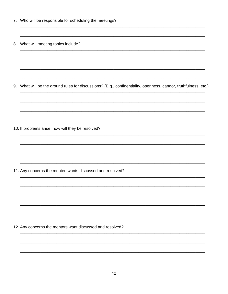- 7. Who will be responsible for scheduling the meetings?
- 8. What will meeting topics include?

9. What will be the ground rules for discussions? (E.g., confidentiality, openness, candor, truthfulness, etc.)

10. If problems arise, how will they be resolved?

11. Any concerns the mentee wants discussed and resolved?

12. Any concerns the mentors want discussed and resolved?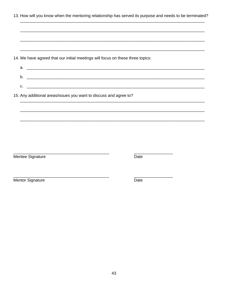| 13. How will you know when the mentoring relationship has served its purpose and needs to be terminated? |  |  |  |
|----------------------------------------------------------------------------------------------------------|--|--|--|
|----------------------------------------------------------------------------------------------------------|--|--|--|

| 14. We have agreed that our initial meetings will focus on these three topics: |      |  |
|--------------------------------------------------------------------------------|------|--|
| а.                                                                             |      |  |
| b.                                                                             |      |  |
| c.                                                                             |      |  |
| 15. Any additional areas/issues you want to discuss and agree to?              |      |  |
|                                                                                |      |  |
|                                                                                |      |  |
|                                                                                |      |  |
|                                                                                |      |  |
|                                                                                |      |  |
| Mentee Signature                                                               | Date |  |
|                                                                                |      |  |
| <b>Mentor Signature</b>                                                        | Date |  |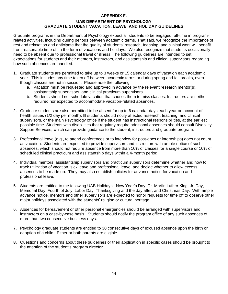#### **APPENDIX F.**

#### **UAB DEPARTMENT OF PSYCHOLOGY GRADUATE STUDENT VACATION, LEAVE, AND HOLIDAY GUIDELINES**

<span id="page-43-0"></span>Graduate programs in the Department of Psychology expect all students to be engaged full-time in programrelated activities, including during periods between academic terms. That said, we recognize the importance of rest and relaxation and anticipate that the quality of students' research, teaching, and clinical work will benefit from reasonable time off in the form of vacations and holidays. We also recognize that students occasionally need to be absent due to professional travel or illness. The following guidelines are intended to set expectations for students and their mentors, instructors, and assistantship and clinical supervisors regarding how such absences are handled.

- 1. Graduate students are permitted to take up to 3 weeks or 15 calendar days of vacation each academic year. This includes any time taken off between academic terms or during spring and fall breaks, even though classes are not in session. Please note the following:
	- a. Vacation must be requested and approved in advance by the relevant research mentor(s), assistantship supervisors, and clinical practicum supervisors.
	- b. Students should not schedule vacation that causes them to miss classes. Instructors are neither required nor expected to accommodate vacation-related absences.
- 2. Graduate students are also permitted to be absent for up to 6 calendar days each year on account of health issues (1/2 day per month). Ill students should notify affected research, teaching, and clinical supervisors, or the main Psychology office if the student has instructional responsibilities, at the earliest possible time. Students with disabilities that regularly require additional absences should consult Disability Support Services, which can provide guidance to the student, instructors and graduate program.
- 3. Professional leave (e.g., to attend conferences or to interview for post-docs or internships) does not count as vacation. Students are expected to provide supervisors and instructors with ample notice of such absences, which should not require absence from more than 10% of classes for a single course or 10% of scheduled clinical practicum and assistantship days within a 4-month period.
- 4. Individual mentors, assistantship supervisors and practicum supervisors determine whether and how to track utilization of vacation, sick leave and professional leave, and decide whether to allow excess absences to be made up. They may also establish policies for advance notice for vacation and professional leave.
- 5. Students are entitled to the following UAB Holidays: New Year's Day, Dr. Martin Luther King, Jr. Day, Memorial Day, Fourth of July, Labor Day, Thanksgiving and the day after, and Christmas Day. With ample advance notice, mentors and other supervisors are expected to honor requests for time off to observe other major holidays associated with the students' religion or cultural heritage.
- 6. Absences for bereavement or other personal emergencies should be arranged with supervisors and instructors on a case-by-case basis. Students should notify the program office of any such absences of more than two consecutive business days.
- 7. Psychology graduate students are entitled to 30 consecutive days of excused absence upon the birth or adoption of a child. Either or both parents are eligible.
- **8.** Questions and concerns about these guidelines or their application in specific cases should be brought to the attention of the student's program director.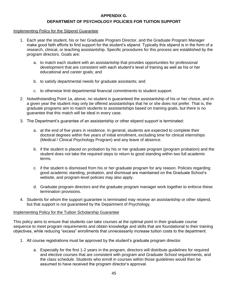#### **APPENDIX G.**

#### **DEPARTMENT OF PSYCHOLOGY POLICIES FOR TUITION SUPPORT**

#### <span id="page-44-0"></span>Implementing Policy for the Stipend Guarantee

- 1. Each year the student, his or her Graduate Program Director, and the Graduate Program Manager make good faith efforts to find support for the student's stipend. Typically this stipend is in the form of a research, clinical, or teaching assistantship. Specific procedures for this process are established by the program directors. Goals are:
	- a. to match each student with an assistantship that provides opportunities for professional development that are consistent with each student's level of training as well as his or her educational and career goals; and
	- b. to satisfy departmental needs for graduate assistants; and
	- c. to otherwise limit departmental financial commitments to student support.
- 2. Notwithstanding Point 1a, above, no student is guaranteed the assistantship of his or her choice, and in a given year the student may only be offered assistantships that he or she does not prefer. That is, the graduate programs aim to match students to assistantships based on training goals, but there is no guarantee that this match will be ideal in every case.
- 3. The Department's guarantee of an assistantship or other stipend support is terminated:
	- a. at the end of five years in residence. In general, students are expected to complete their doctoral degrees within five years of initial enrollment, excluding time for clinical internships (Medical / Clinical Psychology Program) and any leave of absence.
	- b. if the student is placed on probation by his or her graduate program (program probation) and the student does not take the required steps to return to good standing within two full academic terms.
	- c. if the student is dismissed from his or her graduate program for any reason. Policies regarding good academic standing, probation, and dismissal are maintained on the Graduate School's website, and program-level policies may also apply.
	- d. Graduate program directors and the graduate program manager work together to enforce these termination provisions.
- 4. Students for whom the support guarantee is terminated may receive an assistantship or other stipend, but that support is not guaranteed by the Department of Psychology.

#### Implementing Policy for the Tuition Scholarship Guarantee

This policy aims to ensure that students can take courses at the optimal point in their graduate course sequence to meet program requirements and obtain knowledge and skills that are foundational to their training objectives, while reducing "excess" enrollments that unnecessarily increase tuition costs to the department.

- 1. All course registrations must be approved by the student's graduate program director.
	- a. Especially for the first 1-2 years in the program, directors will distribute guidelines for required and elective courses that are consistent with program and Graduate School requirements, and the class schedule. Students who enroll in courses within those guidelines would then be assumed to have received the program director's approval.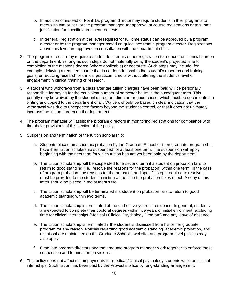- b. In addition or instead of Point 1a, program director may require students in their programs to meet with him or her, or the program manager, for approval of course registrations or to submit justification for specific enrollment requests.
- c. In general, registration at the level required for full-time status can be approved by a program director or by the program manager based on guidelines from a program director. Registrations above this level are approved in consultation with the department chair.
- 2. The program director may require a student to alter his or her registration to reduce the financial burden on the department, as long as such steps do not materially delay the student's projected time to completion of the master's degree (where applicable) or doctorate. Such steps may include, for example, delaying a required course that is not foundational to the student's research and training goals, or reducing research or clinical practicum credits without altering the student's level of engagement in clinical training or research.
- 3. A student who withdraws from a class after the tuition charges have been paid will be personally responsible for paying for the equivalent number of semester hours in the subsequent term. This penalty may be waived by the student's program director for good cause, which must be documented in writing and copied to the department chair. Waivers should be based on clear indication that the withdrawal was due to unexpected factors beyond the student's control, or that it does not ultimately increase the tuition burden on the department.
- 4. The program manager will assist the program directors in monitoring registrations for compliance with the above provisions of this section of the policy.
- 5. Suspension and termination of the tuition scholarship:
	- a. Students placed on academic probation by the Graduate School or their graduate program shall have their tuition scholarship suspended for at least one term. The suspension will apply beginning with the next term for which tuition has not yet been paid by the department.
	- b. The tuition scholarship will be suspended for a second term if a student on probation fails to return to good standing (i.e., resolve the reasons for the probation) within one term. In the case of program probation, the reasons for the probation and specific steps required to resolve it must be provided to the student in writing at the time the probation takes effect. A copy of this letter should be placed in the student's file.
	- c. The tuition scholarship will be terminated if a student on probation fails to return to good academic standing within two terms.
	- d. The tuition scholarship is terminated at the end of five years in residence. In general, students are expected to complete their doctoral degrees within five years of initial enrollment, excluding time for clinical internships (Medical / Clinical Psychology Program) and any leave of absence.
	- e. The tuition scholarship is terminated if the student is dismissed from his or her graduate program for any reason. Policies regarding good academic standing, academic probation, and dismissal are maintained on the Graduate School's website, and program-level policies may also apply.
	- f. Graduate program directors and the graduate program manager work together to enforce these suspension and termination provisions.
- 6. This policy does not affect tuition payments for medical / clinical psychology students while on clinical internships. Such tuition has been paid by the Provost's office by long-standing arrangement.